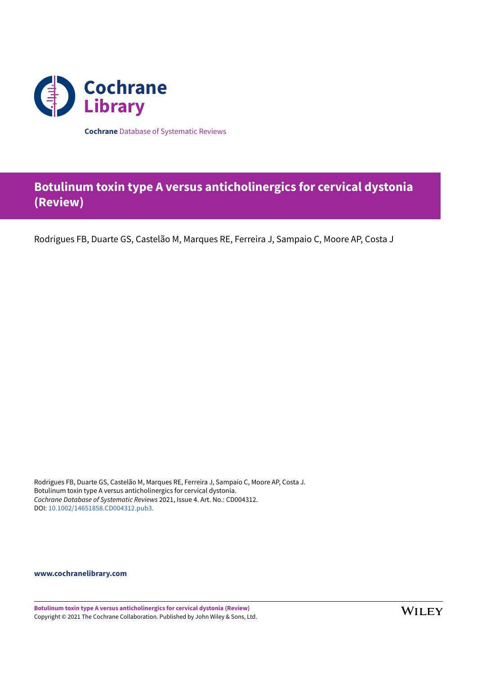

**Cochrane** Database of Systematic Reviews

# **Botulinum toxin type A versus anticholinergics for cervical dystonia (Review)**

Rodrigues FB, Duarte GS, Castelão M, Marques RE, Ferreira J, Sampaio C, Moore AP, Costa J

Rodrigues FB, Duarte GS, Castelão M, Marques RE, Ferreira J, Sampaio C, Moore AP, Costa J. Botulinum toxin type A versus anticholinergics for cervical dystonia. *Cochrane Database of Systematic Reviews* 2021, Issue 4. Art. No.: CD004312. DOI: [10.1002/14651858.CD004312.pub3.](https://doi.org/10.1002%2F14651858.CD004312.pub3)

**[www.cochranelibrary.com](https://www.cochranelibrary.com)**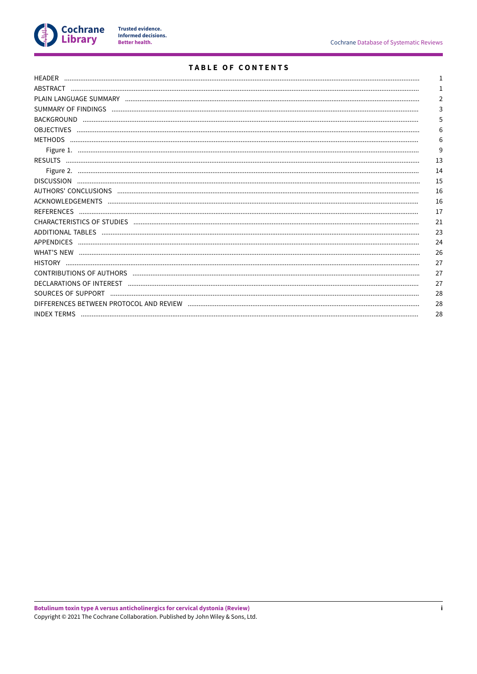

# **TABLE OF CONTENTS**

| $\overline{2}$ |
|----------------|
| 3              |
| 5              |
| 6              |
| 6              |
| 9              |
| 13             |
| 14             |
| 15             |
| 16             |
| 16             |
| 17             |
| 21             |
| 23             |
| 24             |
| 26             |
| 27             |
| 27             |
| 27             |
| 28             |
| 28             |
| 28             |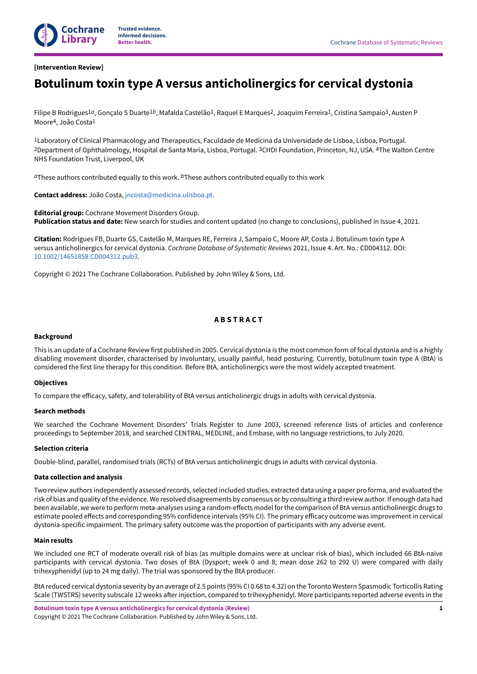

# <span id="page-2-0"></span>**[Intervention Review]**

# **Botulinum toxin type A versus anticholinergics for cervical dystonia**

Filipe B Rodrigues<sup>1a</sup>, Gonçalo S Duarte<sup>1b</sup>, Mafalda Castelão<sup>1</sup>, Raquel E Marques<sup>2</sup>, Joaquim Ferreira<sup>1</sup>, Cristina Sampaio<sup>3</sup>, Austen P Moore4, João Costa1

1Laboratory of Clinical Pharmacology and Therapeutics, Faculdade de Medicina da Universidade de Lisboa, Lisboa, Portugal. <sup>2</sup>Department of Ophthalmology, Hospital de Santa Maria, Lisboa, Portugal. <sup>3</sup>CHDI Foundation, Princeton, NJ, USA. <sup>4</sup>The Walton Centre NHS Foundation Trust, Liverpool, UK

*a*These authors contributed equally to this work. *b*These authors contributed equally to this work

**Contact address:** João Costa, [jncosta@medicina.ulisboa.pt.](mailto:jncosta@medicina.ulisboa.pt)

**Editorial group:** Cochrane Movement Disorders Group. **Publication status and date:** New search for studies and content updated (no change to conclusions), published in Issue 4, 2021.

**Citation:** Rodrigues FB, Duarte GS, Castelão M, Marques RE, Ferreira J, Sampaio C, Moore AP, Costa J. Botulinum toxin type A versus anticholinergics for cervical dystonia. *Cochrane Database of Systematic Reviews* 2021, Issue 4. Art. No.: CD004312. DOI: [10.1002/14651858.CD004312.pub3.](https://doi.org/10.1002%2F14651858.CD004312.pub3)

Copyright © 2021 The Cochrane Collaboration. Published by John Wiley & Sons, Ltd.

# **A B S T R A C T**

#### <span id="page-2-1"></span>**Background**

This is an update of a Cochrane Review first published in 2005. Cervical dystonia is the most common form of focal dystonia and is a highly disabling movement disorder, characterised by involuntary, usually painful, head posturing. Currently, botulinum toxin type A (BtA) is considered the first line therapy for this condition. Before BtA, anticholinergics were the most widely accepted treatment.

#### **Objectives**

To compare the efficacy, safety, and tolerability of BtA versus anticholinergic drugs in adults with cervical dystonia.

#### **Search methods**

We searched the Cochrane Movement Disorders' Trials Register to June 2003, screened reference lists of articles and conference proceedings to September 2018, and searched CENTRAL, MEDLINE, and Embase, with no language restrictions, to July 2020.

#### **Selection criteria**

Double-blind, parallel, randomised trials (RCTs) of BtA versus anticholinergic drugs in adults with cervical dystonia.

#### **Data collection and analysis**

Two review authors independently assessed records, selected included studies, extracted data using a paper pro forma, and evaluated the risk of bias and quality ofthe evidence. We resolved disagreements by consensus or by consulting a third review author. If enough data had been available, we were to perform meta-analyses using a random-effects model for the comparison of BtA versus anticholinergic drugs to estimate pooled effects and corresponding 95% confidence intervals (95% CI). The primary efficacy outcome was improvement in cervical dystonia-specific impairment. The primary safety outcome was the proportion of participants with any adverse event.

#### **Main results**

We included one RCT of moderate overall risk of bias (as multiple domains were at unclear risk of bias), which included 66 BtA-naive participants with cervical dystonia. Two doses of BtA (Dysport; week 0 and 8; mean dose 262 to 292 U) were compared with daily trihexyphenidyl (up to 24 mg daily). The trial was sponsored by the BtA producer.

BtA reduced cervical dystonia severity by an average of 2.5 points (95% CI 0.68 to 4.32) on the Toronto Western Spasmodic Torticollis Rating Scale (TWSTRS) severity subscale 12 weeks after injection, compared to trihexyphenidyl. More participants reported adverse events in the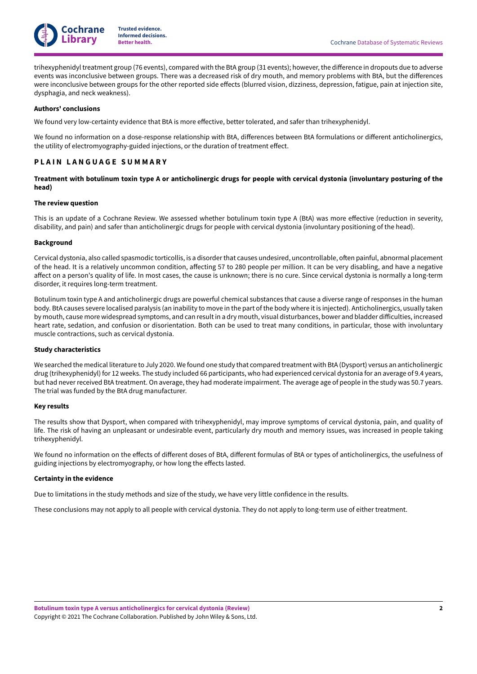

trihexyphenidyl treatment group (76 events), compared with the BtA group (31 events); however, the difference in dropouts due to adverse events was inconclusive between groups. There was a decreased risk of dry mouth, and memory problems with BtA, but the differences were inconclusive between groups for the other reported side effects (blurred vision, dizziness, depression, fatigue, pain at injection site, dysphagia, and neck weakness).

#### **Authors' conclusions**

We found very low-certainty evidence that BtA is more effective, better tolerated, and safer than trihexyphenidyl.

We found no information on a dose-response relationship with BtA, differences between BtA formulations or different anticholinergics, the utility of electromyography-guided injections, or the duration of treatment effect.

# <span id="page-3-0"></span>**P L A I N L A N G U A G E S U M M A R Y**

# Treatment with botulinum toxin type A or anticholinergic drugs for people with cervical dystonia (involuntary posturing of the **head)**

#### **The review question**

This is an update of a Cochrane Review. We assessed whether botulinum toxin type A (BtA) was more effective (reduction in severity, disability, and pain) and safer than anticholinergic drugs for people with cervical dystonia (involuntary positioning of the head).

#### **Background**

Cervical dystonia, also called spasmodic torticollis, is a disorder that causes undesired, uncontrollable, often painful, abnormal placement of the head. It is a relatively uncommon condition, affecting 57 to 280 people per million. It can be very disabling, and have a negative affect on a person's quality of life. In most cases, the cause is unknown; there is no cure. Since cervical dystonia is normally a long-term disorder, it requires long-term treatment.

Botulinum toxin type A and anticholinergic drugs are powerful chemical substances that cause a diverse range of responses in the human body. BtA causes severe localised paralysis (an inability to move in the part of the body where it is injected). Anticholinergics, usually taken by mouth, cause more widespread symptoms, and can resultin a dry mouth, visual disturbances, bower and bladder diIiculties, increased heart rate, sedation, and confusion or disorientation. Both can be used to treat many conditions, in particular, those with involuntary muscle contractions, such as cervical dystonia.

# **Study characteristics**

We searched the medical literature to July 2020. We found one study that compared treatment with BtA (Dysport) versus an anticholinergic drug (trihexyphenidyl) for 12 weeks. The study included 66 participants, who had experienced cervical dystonia for an average of 9.4 years, but had never received BtA treatment. On average, they had moderate impairment. The average age of people in the study was 50.7 years. The trial was funded by the BtA drug manufacturer.

#### **Key results**

The results show that Dysport, when compared with trihexyphenidyl, may improve symptoms of cervical dystonia, pain, and quality of life. The risk of having an unpleasant or undesirable event, particularly dry mouth and memory issues, was increased in people taking trihexyphenidyl.

We found no information on the effects of different doses of BtA, different formulas of BtA or types of anticholinergics, the usefulness of guiding injections by electromyography, or how long the effects lasted.

#### **Certainty in the evidence**

Due to limitations in the study methods and size of the study, we have very little confidence in the results.

These conclusions may not apply to all people with cervical dystonia. They do not apply to long-term use of either treatment.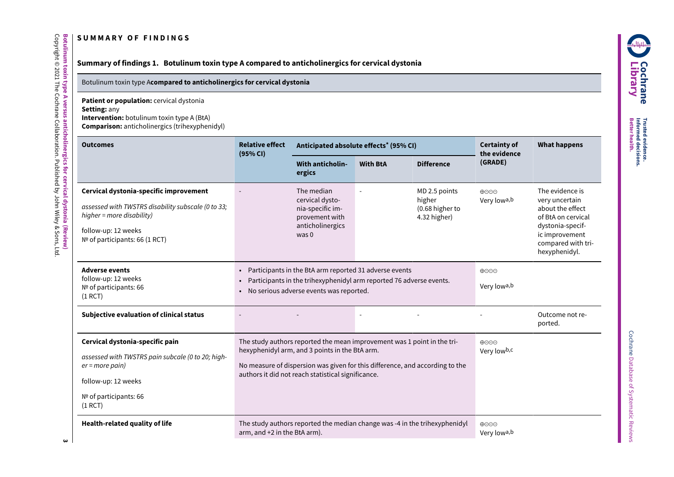# **S U M M A R Y O F F I N D I N G S**

# **Summary of findings 1. Botulinum toxin type A compared to anticholinergics for cervical dystonia**

Botulinum toxin type A**compared to anticholinergics for cervical dystonia**

**Patient or population:** cervical dystonia

**Setting:** any

**Botulinum**

Copyright © 2021

The

Cochrane

Collaboration.

Published

হ John

Wiley & Sons,

<span id="page-4-1"></span>ltd.<br>E

**toxin**

**type A**

**versus**

**anticholinergics**

**for**

**cervical**

**dystonia**

<span id="page-4-0"></span>**(Review)**

**Intervention:** botulinum toxin type A (BtA)

**Comparison:** anticholinergics (trihexyphenidyl)

| <b>Outcomes</b>                                                                                                                                                                    | <b>Relative effect</b><br>(95% CI)                                                                                                                                                                              | Anticipated absolute effects <sup>*</sup> (95% CI)                                                                                                                                                                                                              |                                                  |                                                            | <b>Certainty of</b><br>the evidence              | <b>What happens</b>                                                                                                                                      |
|------------------------------------------------------------------------------------------------------------------------------------------------------------------------------------|-----------------------------------------------------------------------------------------------------------------------------------------------------------------------------------------------------------------|-----------------------------------------------------------------------------------------------------------------------------------------------------------------------------------------------------------------------------------------------------------------|--------------------------------------------------|------------------------------------------------------------|--------------------------------------------------|----------------------------------------------------------------------------------------------------------------------------------------------------------|
|                                                                                                                                                                                    |                                                                                                                                                                                                                 | <b>With anticholin-</b><br>ergics                                                                                                                                                                                                                               | <b>With BtA</b>                                  | <b>Difference</b>                                          | (GRADE)                                          |                                                                                                                                                          |
| Cervical dystonia-specific improvement<br>assessed with TWSTRS disability subscale (0 to 33;<br>higher = more disability)<br>follow-up: 12 weeks<br>Nº of participants: 66 (1 RCT) |                                                                                                                                                                                                                 | The median<br>cervical dysto-<br>nia-specific im-<br>provement with<br>anticholinergics<br>was 0                                                                                                                                                                |                                                  | MD 2.5 points<br>higher<br>(0.68 higher to<br>4.32 higher) | $\bigoplus$ $\bigodot$ $\bigodot$<br>Very lowa,b | The evidence is<br>very uncertain<br>about the effect<br>of BtA on cervical<br>dystonia-specif-<br>ic improvement<br>compared with tri-<br>hexyphenidyl. |
| <b>Adverse events</b><br>follow-up: 12 weeks<br>Nº of participants: 66<br>$(1$ RCT)                                                                                                | Participants in the BtA arm reported 31 adverse events<br>$\bullet$<br>Participants in the trihexyphenidyl arm reported 76 adverse events.<br>$\bullet$<br>No serious adverse events was reported.<br>$\bullet$ |                                                                                                                                                                                                                                                                 | $\bigoplus$ $\bigodot$ $\bigodot$<br>Very lowa,b |                                                            |                                                  |                                                                                                                                                          |
| Subjective evaluation of clinical status                                                                                                                                           |                                                                                                                                                                                                                 |                                                                                                                                                                                                                                                                 |                                                  |                                                            |                                                  | Outcome not re-<br>ported.                                                                                                                               |
| Cervical dystonia-specific pain<br>assessed with TWSTRS pain subcale (0 to 20; high-<br>$er = more pain)$<br>follow-up: 12 weeks<br>Nº of participants: 66<br>$(1$ RCT)            |                                                                                                                                                                                                                 | The study authors reported the mean improvement was 1 point in the tri-<br>hexyphenidyl arm, and 3 points in the BtA arm.<br>No measure of dispersion was given for this difference, and according to the<br>authors it did not reach statistical significance. |                                                  |                                                            | $\bigoplus \bigodot \bigodot$<br>Very lowb,c     |                                                                                                                                                          |
| Health-related quality of life                                                                                                                                                     | arm, and +2 in the BtA arm).                                                                                                                                                                                    | The study authors reported the median change was -4 in the trihexyphenidyl                                                                                                                                                                                      |                                                  |                                                            | $\bigoplus$ $\bigodot$ $\bigodot$<br>Very lowa,b |                                                                                                                                                          |

**ALLINE C o c hra n e Lib r a r y**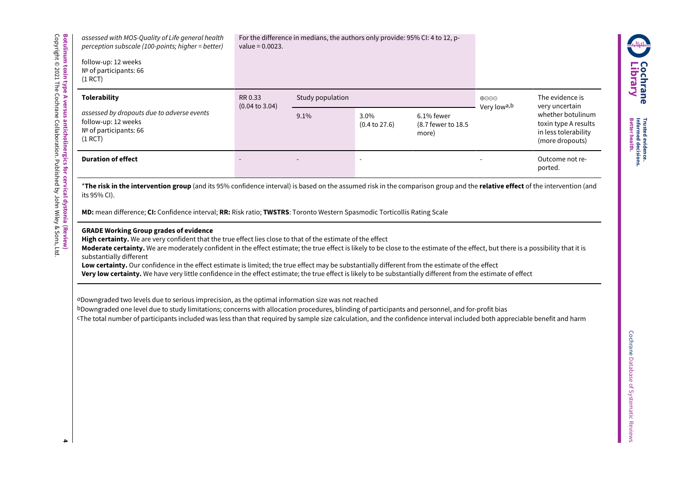| assessed with MOS-Quality of Life general health<br>perception subscale (100-points; higher = better)<br>follow-up: 12 weeks<br>$No$ of participants: 66<br>(1 RCT) | value = $0.0023$ .                   | For the difference in medians, the authors only provide: 95% CI: 4 to 12, p- |                                     |                                            |                                 |                                                                                                                           |
|---------------------------------------------------------------------------------------------------------------------------------------------------------------------|--------------------------------------|------------------------------------------------------------------------------|-------------------------------------|--------------------------------------------|---------------------------------|---------------------------------------------------------------------------------------------------------------------------|
| Tolerability<br>assessed by dropouts due to adverse events<br>follow-up: 12 weeks<br>$No$ of participants: 66<br>(1 RCT)                                            | RR 0.33<br>$(0.04 \text{ to } 3.04)$ | Study population<br>9.1%                                                     | $3.0\%$<br>$(0.4 \text{ to } 27.6)$ | 6.1% fewer<br>(8.7 fewer to 18.5)<br>more) | ⊕⊝⊝⊝<br>Very low <sup>a,b</sup> | The evidence is<br>very uncertain<br>whether botulinum<br>toxin type A results<br>in less tolerability<br>(more dropouts) |
| <b>Duration of effect</b>                                                                                                                                           |                                      |                                                                              |                                     |                                            |                                 | Outcome not re-<br>ported.                                                                                                |

\***The risk in the intervention group** (and its 95% confidence interval) is based on the assumed risk in the comparison group and the **relative effect** of the intervention (and its 95% CI).

**MD:** mean difference; **CI:** Confidence interval; **RR:** Risk ratio; **TWSTRS**: Toronto Western Spasmodic Torticollis Rating Scale

# **GRADE Working Group grades of evidence**

**High certainty.** We are very confident that the true effect lies close to that of the estimate of the effect

Moderate certainty. We are moderately confident in the effect estimate; the true effect is likely to be close to the estimate of the effect, but there is a possibility that it is substantially different

**Low certainty.** Our confidence in the effect estimate is limited; the true effect may be substantially different from the estimate of the effect

**Very low certainty.** We have very little confidence in the effect estimate; the true effect is likely to be substantially different from the estimate of effect

*a*Downgraded two levels due to serious imprecision, as the optimal information size was not reached

bDowngraded one level due to study limitations; concerns with allocation procedures, blinding of participants and personnel, and for-profit bias

cThe total number of participants included was less than that required by sample size calculation, and the confidence interval included both appreciable benefit and harm

**C o c hra n e Lib r a r y**

**Trusted Better**

**Informed**

**decisions. health.**

**evidence.**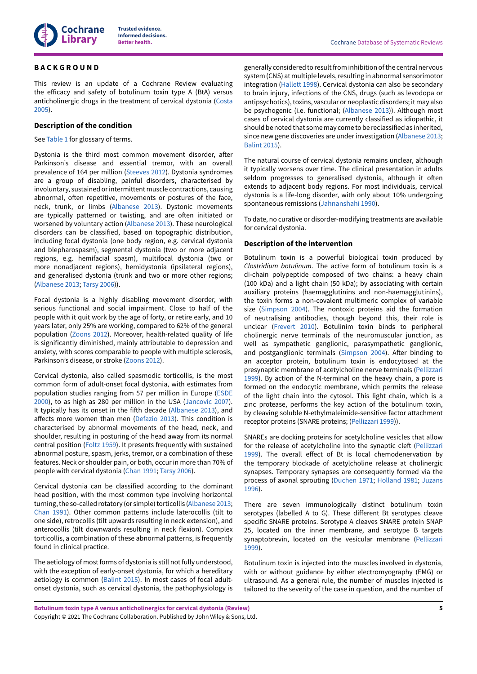

# <span id="page-6-0"></span>**B A C K G R O U N D**

This review is an update of a Cochrane Review evaluating the efficacy and safety of botulinum toxin type A (BtA) versus anticholinergic drugs in the treatment of cervical dystonia ([Costa](#page-21-0) [2005](#page-21-0)).

# **Description of the condition**

#### See [Table](#page-24-1) 1 for glossary of terms.

Dystonia is the third most common movement disorder, after Parkinson's disease and essential tremor, with an overall prevalence of 164 per million ([Steeves](#page-21-1) 2012). Dystonia syndromes are a group of disabling, painful disorders, characterised by involuntary, sustained orintermittent muscle contractions, causing abnormal, often repetitive, movements or postures of the face, neck, trunk, or limbs ([Albanese](#page-18-1) 2013). Dystonic movements are typically patterned or twisting, and are often initiated or worsened by voluntary action ([Albanese](#page-18-1) 2013). These neurological disorders can be classified, based on topographic distribution, including focal dystonia (one body region, e.g. cervical dystonia and blepharospasm), segmental dystonia (two or more adjacent regions, e.g. hemifacial spasm), multifocal dystonia (two or more nonadjacent regions), hemidystonia (ipsilateral regions), and generalised dystonia (trunk and two or more other regions; [\(Albanese](#page-18-1) 2013; [Tarsy](#page-21-2) 2006)).

Focal dystonia is a highly disabling movement disorder, with serious functional and social impairment. Close to half of the people with it quit work by the age of forty, or retire early, and 10 years later, only 25% are working, compared to 62% of the general population [\(Zoons](#page-21-3) 2012). Moreover, health-related quality of life is significantly diminished, mainly attributable to depression and anxiety, with scores comparable to people with multiple sclerosis, Parkinson's disease, or stroke ([Zoons](#page-21-3) 2012).

Cervical dystonia, also called spasmodic torticollis, is the most common form of adult-onset focal dystonia, with estimates from population studies ranging from 57 per million in Europe ([ESDE](#page-19-0) [2000](#page-19-0)), to as high as 280 per million in the USA [\(Jancovic](#page-20-0) 2007). It typically has its onset in the fifth decade [\(Albanese](#page-18-1) 2013), and affects more women than men ([Defazio](#page-18-2) 2013). This condition is characterised by abnormal movements of the head, neck, and shoulder, resulting in posturing of the head away from its normal central position ([Foltz](#page-19-1) 1959). It presents frequently with sustained abnormal posture, spasm, jerks, tremor, or a combination of these features. Neck or shoulder pain, or both, occur in more than 70% of people with cervical dystonia [\(Chan 1991;](#page-18-3) [Tarsy](#page-21-2) 2006).

Cervical dystonia can be classified according to the dominant head position, with the most common type involving horizontal turning, the so-called rotatory (or simple) torticollis ([Albanese](#page-18-1) 2013; [Chan 1991](#page-18-3)). Other common patterns include laterocollis (tilt to one side), retrocollis (tilt upwards resulting in neck extension), and anterocollis (tilt downwards resulting in neck flexion). Complex torticollis, a combination of these abnormal patterns, is frequently found in clinical practice.

The aetiology of most forms of dystonia is still not fully understood, with the exception of early-onset dystonia, for which a hereditary aetiology is common [\(Balint 2015](#page-18-4)). In most cases of focal adultonset dystonia, such as cervical dystonia, the pathophysiology is

generally considered to result from inhibition of the central nervous system (CNS) at multiple levels, resulting in abnormal sensorimotor integration ([Hallett](#page-19-2) 1998). Cervical dystonia can also be secondary to brain injury, infections of the CNS, drugs (such as levodopa or antipsychotics), toxins, vascular or neoplastic disorders; it may also be psychogenic (i.e. functional; [\(Albanese](#page-18-1) 2013)). Although most cases of cervical dystonia are currently classified as idiopathic, it should be noted that some may come to be reclassified as inherited, since new gene discoveries are under investigation ([Albanese](#page-18-1) 2013; [Balint 2015\)](#page-18-4).

The natural course of cervical dystonia remains unclear, although it typically worsens over time. The clinical presentation in adults seldom progresses to generalised dystonia, although it often extends to adjacent body regions. For most individuals, cervical dystonia is a life-long disorder, with only about 10% undergoing spontaneous remissions [\(Jahnanshahi 1990\)](#page-20-1).

To date, no curative or disorder-modifying treatments are available for cervical dystonia.

# **Description of the intervention**

Botulinum toxin is a powerful biological toxin produced by *Clostridium botulinum*. The active form of botulinum toxin is a di-chain polypeptide composed of two chains: a heavy chain (100 kDa) and a light chain (50 kDa); by associating with certain auxiliary proteins (haemagglutinins and non-haemagglutinins), the toxin forms a non-covalent multimeric complex of variable size [\(Simpson 2004](#page-21-4)). The nontoxic proteins aid the formation of neutralising antibodies, though beyond this, their role is unclear ([Frevert](#page-19-3) 2010). Botulinim toxin binds to peripheral cholinergic nerve terminals of the neuromuscular junction, as well as sympathetic ganglionic, parasympathetic ganglionic, and postganglionic terminals ([Simpson 2004\)](https://archie.cochrane.org/sections/documents/view?document=032503031700542198&format=JATS#REF-Simpson-2004). After binding to an acceptor protein, botulinum toxin is endocytosed at the presynaptic membrane of acetylcholine nerve terminals [\(Pellizzari](https://archie.cochrane.org/sections/documents/view?document=032503031700542198&format=JATS#REF-Pellizzari-1999) [1999\)](https://archie.cochrane.org/sections/documents/view?document=032503031700542198&format=JATS#REF-Pellizzari-1999). By action of the N-terminal on the heavy chain, a pore is formed on the endocytic membrane, which permits the release of the light chain into the cytosol. This light chain, which is a zinc protease, performs the key action of the botulinum toxin, by cleaving soluble N-ethylmaleimide-sensitive factor attachment receptor proteins (SNARE proteins; ([Pellizzari](https://archie.cochrane.org/sections/documents/view?document=032503031700542198&format=JATS#REF-Pellizzari-1999) 1999)).

SNAREs are docking proteins for acetylcholine vesicles that allow for the release of acetylcholine into the synaptic cleft [\(Pellizzari](#page-20-2) [1999\)](#page-20-2). The overall effect of Bt is local chemodenervation by the temporary blockade of acetylcholine release at cholinergic synapses. Temporary synapses are consequently formed via the process of axonal sprouting [\(Duchen 1971](#page-19-4); [Holland 1981;](#page-20-3) [Juzans](#page-20-4) [1996\)](#page-20-4).

There are seven immunologically distinct botulinum toxin serotypes (labelled A to G). These different Bt serotypes cleave specific SNARE proteins. Serotype A cleaves SNARE protein SNAP 25, located on the inner membrane, and serotype B targets synaptobrevin, located on the vesicular membrane [\(Pellizzari](#page-20-2) [1999\)](#page-20-2).

Botulinum toxin is injected into the muscles involved in dystonia, with or without guidance by either electromyography (EMG) or ultrasound. As a general rule, the number of muscles injected is tailored to the severity of the case in question, and the number of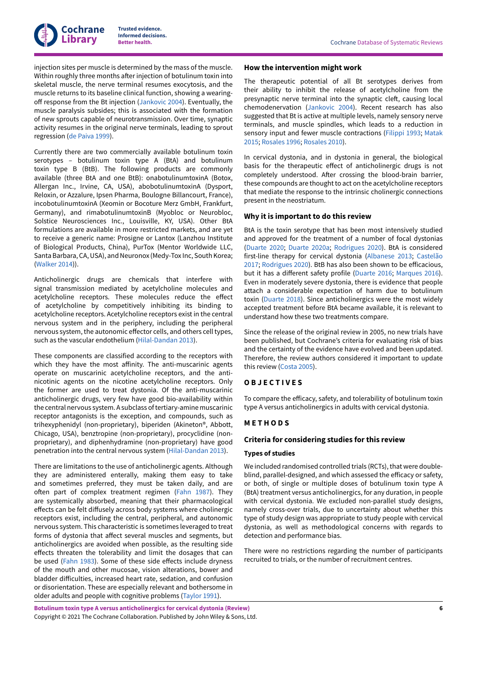injection sites per muscle is determined by the mass of the muscle. Within roughly three months after injection of botulinum toxin into skeletal muscle, the nerve terminal resumes exocytosis, and the muscle returns to its baseline clinical function, showing a wearing-off response from the Bt injection [\(Jankovic](#page-20-5) 2004). Eventually, the muscle paralysis subsides; this is associated with the formation of new sprouts capable of neurotransmission. Over time, synaptic activity resumes in the original nerve terminals, leading to sprout regression (de [Paiva](#page-18-5) 1999).

Currently there are two commercially available botulinum toxin serotypes – botulinum toxin type A (BtA) and botulinum toxin type B (BtB). The following products are commonly available (three BtA and one BtB): onabotulinumtoxinA (Botox, Allergan Inc., Irvine, CA, USA), abobotulinumtoxinA (Dysport, Reloxin, or Azzalure, Ipsen Pharma, Boulogne Billancourt, France), incobotulinumtoxinA (Xeomin or Bocoture Merz GmbH, Frankfurt, Germany), and rimabotulinumtoxinB (Myobloc or Neurobloc, Solstice Neurosciences Inc., Louisville, KY, USA). Other BtA formulations are available in more restricted markets, and are yet to receive a generic name: Prosigne or Lantox (Lanzhou Institute of Biological Products, China), PurTox (Mentor Worldwide LLC, Santa Barbara, CA, USA), and Neuronox (Medy-Tox Inc, South Korea; [\(Walker](#page-21-5) 2014)).

Anticholinergic drugs are chemicals that interfere with signal transmission mediated by acetylcholine molecules and acetylcholine receptors. These molecules reduce the effect of acetylcholine by competitively inhibiting its binding to acetylcholine receptors. Acetylcholine receptors exist in the central nervous system and in the periphery, including the peripheral nervous system, the autonomic effector cells, and others cell types, such as the vascular endothelium [\(Hilal-Dandan 2013](#page-20-6)).

These components are classified according to the receptors with which they have the most affinity. The anti-muscarinic agents operate on muscarinic acetylcholine receptors, and the antinicotinic agents on the nicotine acetylcholine receptors. Only the former are used to treat dystonia. Of the anti-muscarinic anticholinergic drugs, very few have good bio-availability within the central nervous system. A subclass oftertiary-amine muscarinic receptor antagonists is the exception, and compounds, such as trihexyphenidyl (non-proprietary), biperiden (Akineton®, Abbott, Chicago, USA), benztropine (non-proprietary), procyclidine (nonproprietary), and diphenhydramine (non-proprietary) have good penetration into the central nervous system ([Hilal-Dandan 2013\)](#page-20-6).

There are limitations to the use of anticholinergic agents. Although they are administered enterally, making them easy to take and sometimes preferred, they must be taken daily, and are often part of complex treatment regimen [\(Fahn](#page-19-5) 1987). They are systemically absorbed, meaning that their pharmacological effects can be felt diffusely across body systems where cholinergic receptors exist, including the central, peripheral, and autonomic nervous system. This characteristic is sometimes leveraged to treat forms of dystonia that affect several muscles and segments, but anticholinergics are avoided when possible, as the resulting side effects threaten the tolerability and limit the dosages that can be used ([Fahn](#page-19-6) 1983). Some of these side effects include dryness of the mouth and other mucosae, vision alterations, bower and bladder difficulties, increased heart rate, sedation, and confusion or disorientation. These are especially relevant and bothersome in older adults and people with cognitive problems [\(Taylor](#page-21-6) 1991).

**How the intervention might work**

The therapeutic potential of all Bt serotypes derives from their ability to inhibit the release of acetylcholine from the presynaptic nerve terminal into the synaptic cleft, causing local chemodenervation [\(Jankovic](#page-20-5) 2004). Recent research has also suggested that Bt is active at multiple levels, namely sensory nerve terminals, and muscle spindles, which leads to a reduction in sensory input and fewer muscle contractions [\(Filippi 1993](#page-19-7); [Matak](#page-20-7) [2015;](#page-20-7) [Rosales](#page-20-8) 1996; [Rosales](#page-21-7) 2010).

In cervical dystonia, and in dystonia in general, the biological basis for the therapeutic effect of anticholinergic drugs is not completely understood. After crossing the blood-brain barrier, these compounds are thought to act on the acetylcholine receptors that mediate the response to the intrinsic cholinergic connections present in the neostriatum.

#### **Why it is important to do this review**

BtA is the toxin serotype that has been most intensively studied and approved for the treatment of a number of focal dystonias [\(Duarte](#page-19-8) 2020; [Duarte](#page-19-9) 2020a; [Rodrigues](#page-20-9) 2020). BtA is considered first-line therapy for cervical dystonia [\(Albanese](#page-18-1) 2013; [Castelão](#page-18-6) [2017;](#page-18-6) [Rodrigues](#page-20-9) 2020). BtB has also been shown to be efficacious, but it has a different safety profile [\(Duarte](#page-19-10) 2016; [Marques](#page-20-10) 2016). Even in moderately severe dystonia, there is evidence that people attach a considerable expectation of harm due to botulinum toxin [\(Duarte](#page-19-11) 2018). Since anticholinergics were the most widely accepted treatment before BtA became available, it is relevant to understand how these two treatments compare.

Since the release of the original review in 2005, no new trials have been published, but Cochrane's criteria for evaluating risk of bias and the certainty of the evidence have evolved and been updated. Therefore, the review authors considered it important to update this review ([Costa](#page-21-0) 2005).

# <span id="page-7-0"></span>**O B J E C T I V E S**

To compare the efficacy, safety, and tolerability of botulinum toxin type A versus anticholinergics in adults with cervical dystonia.

#### <span id="page-7-1"></span>**M E T H O D S**

#### **Criteria for considering studies for this review**

#### **Types of studies**

We included randomised controlled trials (RCTs), that were doubleblind, parallel-designed, and which assessed the efficacy or safety, or both, of single or multiple doses of botulinum toxin type A (BtA) treatment versus anticholinergics, for any duration, in people with cervical dystonia. We excluded non-parallel study designs, namely cross-over trials, due to uncertainty about whether this type of study design was appropriate to study people with cervical dystonia, as well as methodological concerns with regards to detection and performance bias.

There were no restrictions regarding the number of participants recruited to trials, or the number of recruitment centres.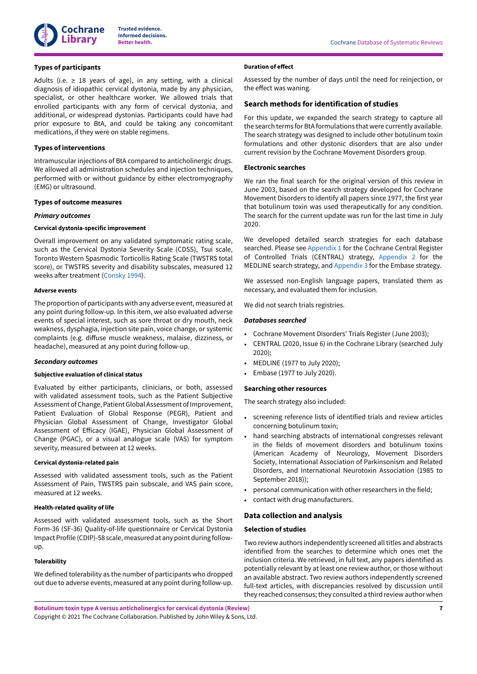

# **Types of participants**

Adults (i.e.  $\geq$  18 years of age), in any setting, with a clinical diagnosis of idiopathic cervical dystonia, made by any physician, specialist, or other healthcare worker. We allowed trials that enrolled participants with any form of cervical dystonia, and additional, or widespread dystonias. Participants could have had prior exposure to BtA, and could be taking any concomitant medications, if they were on stable regimens.

# **Types of interventions**

Intramuscular injections of BtA compared to anticholinergic drugs. We allowed all administration schedules and injection techniques, performed with or without guidance by either electromyography (EMG) or ultrasound.

#### **Types of outcome measures**

#### *Primary outcomes*

#### **Cervical dystonia-specific improvement**

Overall improvement on any validated symptomatic rating scale, such as the Cervical Dystonia Severity Scale (CDSS), Tsui scale, Toronto Western Spasmodic Torticollis Rating Scale (TWSTRS total score), or TWSTRS severity and disability subscales, measured 12 weeks after treatment [\(Consky 1994\)](#page-18-7).

#### **Adverse events**

The proportion of participants with any adverse event, measured at any point during follow-up. In this item, we also evaluated adverse events of special interest, such as sore throat or dry mouth, neck weakness, dysphagia, injection site pain, voice change, or systemic complaints (e.g. diffuse muscle weakness, malaise, dizziness, or headache), measured at any point during follow-up.

# *Secondary outcomes*

#### **Subjective evaluation of clinical status**

Evaluated by either participants, clinicians, or both, assessed with validated assessment tools, such as the Patient Subjective Assessment of Change, Patient Global Assessment of Improvement, Patient Evaluation of Global Response (PEGR), Patient and Physician Global Assessment of Change, Investigator Global Assessment of Efficacy (IGAE), Physician Global Assessment of Change (PGAC), or a visual analogue scale (VAS) for symptom severity, measured between at 12 weeks.

#### **Cervical dystonia-related pain**

Assessed with validated assessment tools, such as the Patient Assessment of Pain, TWSTRS pain subscale, and VAS pain score, measured at 12 weeks.

#### **Health-related quality of life**

Assessed with validated assessment tools, such as the Short Form-36 (SF-36) Quality-of-life questionnaire or Cervical Dystonia Impact Profile (CDIP)-58 scale, measured at any point during followup.

# **Tolerability**

We defined tolerability as the number of participants who dropped out due to adverse events, measured at any point during follow-up.

# **Duration of effect**

Assessed by the number of days until the need for reinjection, or the effect was waning.

# **Search methods for identification of studies**

For this update, we expanded the search strategy to capture all the search terms for BtA formulations that were currently available. The search strategy was designed to include other botulinum toxin formulations and other dystonic disorders that are also under current revision by the Cochrane Movement Disorders group.

# **Electronic searches**

We ran the final search for the original version of this review in June 2003, based on the search strategy developed for Cochrane Movement Disorders to identify all papers since 1977, the first year that botulinum toxin was used therapeutically for any condition. The search for the current update was run for the last time in July 2020.

We developed detailed search strategies for each database searched. Please see [Appendix 1](#page-25-1) for the Cochrane Central Register of Controlled Trials (CENTRAL) strategy, [Appendix 2](#page-26-0) for the MEDLINE search strategy, and [Appendix 3](#page-27-1) for the Embase strategy.

We assessed non-English language papers, translated them as necessary, and evaluated them for inclusion.

We did not search trials registries.

#### *Databases searched*

- Cochrane Movement Disorders' Trials Register (June 2003);
- CENTRAL (2020, Issue 6) in the Cochrane Library (searched July 2020);
- MEDLINE (1977 to July 2020);
- Embase (1977 to July 2020).

#### **Searching other resources**

The search strategy also included:

- screening reference lists of identified trials and review articles concerning botulinum toxin;
- hand searching abstracts of international congresses relevant in the fields of movement disorders and botulinum toxins (American Academy of Neurology, Movement Disorders Society, International Association of Parkinsonism and Related Disorders, and International Neurotoxin Association (1985 to September 2018));
- personal communication with other researchers in the field;
- contact with drug manufacturers.

# **Data collection and analysis**

#### **Selection of studies**

Two review authors independently screened all titles and abstracts identified from the searches to determine which ones met the inclusion criteria. We retrieved, in full text, any papers identified as potentially relevant by at least one review author, or those without an available abstract. Two review authors independently screened full-text articles, with discrepancies resolved by discussion until they reached consensus;they consulted a third review author when

Copyright © 2021 The Cochrane Collaboration. Published by John Wiley & Sons, Ltd.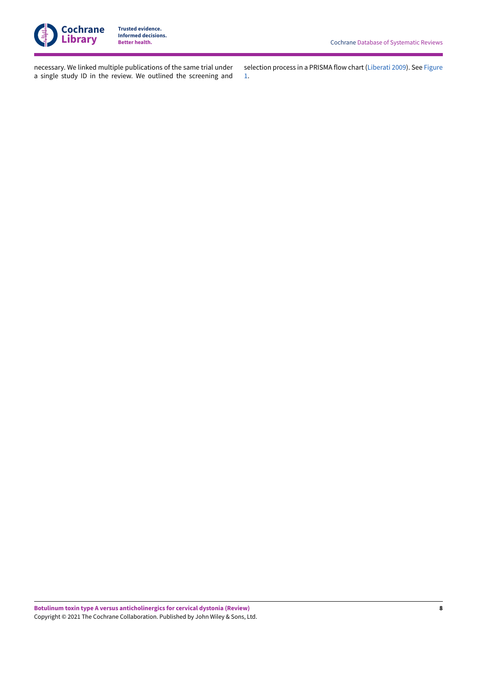

necessary. We linked multiple publications of the same trial under a single study ID in the review. We outlined the screening and

selection process in a PRISMA flow chart ([Liberati](#page-20-11) 2009). See [Figure](#page-10-0) [1](#page-10-0).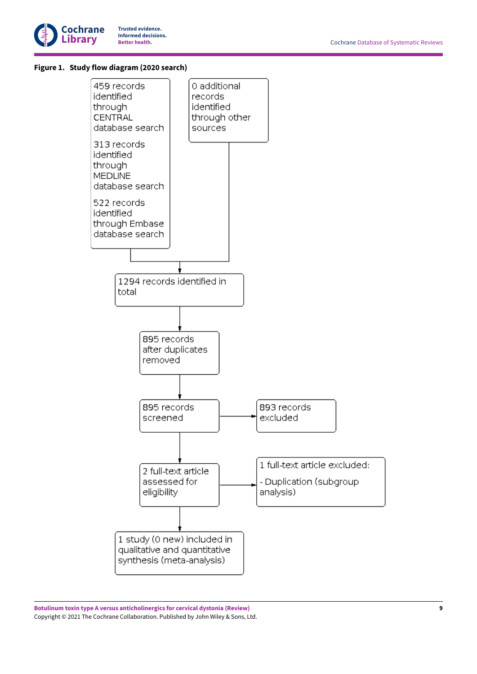

# <span id="page-10-0"></span>**Figure 1. Study flow diagram (2020 search)**

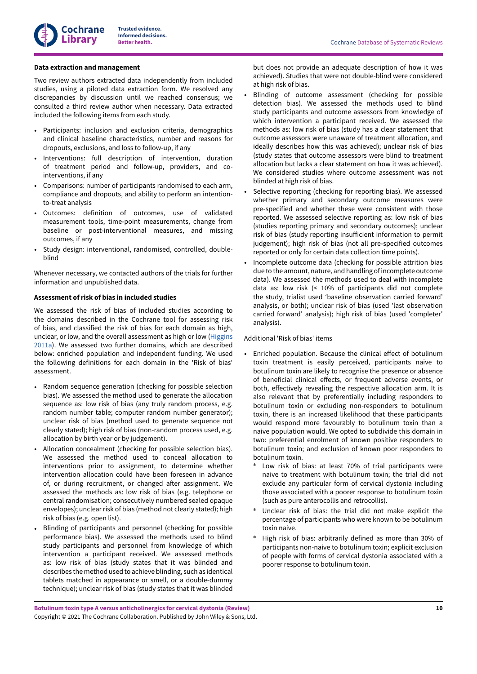#### **Data extraction and management**

**Cochrane Library**

Two review authors extracted data independently from included studies, using a piloted data extraction form. We resolved any discrepancies by discussion until we reached consensus; we consulted a third review author when necessary. Data extracted included the following items from each study.

- Participants: inclusion and exclusion criteria, demographics and clinical baseline characteristics, number and reasons for dropouts, exclusions, and loss to follow-up, if any
- Interventions: full description of intervention, duration of treatment period and follow-up, providers, and cointerventions, if any
- Comparisons: number of participants randomised to each arm, compliance and dropouts, and ability to perform an intentionto-treat analysis
- Outcomes: definition of outcomes, use of validated measurement tools, time-point measurements, change from baseline or post-interventional measures, and missing outcomes, if any
- Study design: interventional, randomised, controlled, doubleblind

Whenever necessary, we contacted authors of the trials for further information and unpublished data.

#### **Assessment of risk of bias in included studies**

We assessed the risk of bias of included studies according to the domains described in the Cochrane tool for assessing risk of bias, and classified the risk of bias for each domain as high, unclear, or low, and the overall assessment as high or low [\(Higgins](#page-19-12) [2011a\)](#page-19-12). We assessed two further domains, which are described below: enriched population and independent funding. We used the following definitions for each domain in the 'Risk of bias' assessment.

- Random sequence generation (checking for possible selection bias). We assessed the method used to generate the allocation sequence as: low risk of bias (any truly random process, e.g. random number table; computer random number generator); unclear risk of bias (method used to generate sequence not clearly stated); high risk of bias (non-random process used, e.g. allocation by birth year or by judgement).
- Allocation concealment (checking for possible selection bias). We assessed the method used to conceal allocation to interventions prior to assignment, to determine whether intervention allocation could have been foreseen in advance of, or during recruitment, or changed after assignment. We assessed the methods as: low risk of bias (e.g. telephone or central randomisation; consecutively numbered sealed opaque envelopes); unclear risk of bias (method not clearly stated); high risk of bias (e.g. open list).
- Blinding of participants and personnel (checking for possible performance bias). We assessed the methods used to blind study participants and personnel from knowledge of which intervention a participant received. We assessed methods as: low risk of bias (study states that it was blinded and describes the method used to achieve blinding, such as identical tablets matched in appearance or smell, or a double-dummy technique); unclear risk of bias (study states that it was blinded

but does not provide an adequate description of how it was achieved). Studies that were not double-blind were considered at high risk of bias.

- Blinding of outcome assessment (checking for possible detection bias). We assessed the methods used to blind study participants and outcome assessors from knowledge of which intervention a participant received. We assessed the methods as: low risk of bias (study has a clear statement that outcome assessors were unaware of treatment allocation, and ideally describes how this was achieved); unclear risk of bias (study states that outcome assessors were blind to treatment allocation but lacks a clear statement on how it was achieved). We considered studies where outcome assessment was not blinded at high risk of bias.
- Selective reporting (checking for reporting bias). We assessed whether primary and secondary outcome measures were pre-specified and whether these were consistent with those reported. We assessed selective reporting as: low risk of bias (studies reporting primary and secondary outcomes); unclear risk of bias (study reporting insufficient information to permit judgement); high risk of bias (not all pre-specified outcomes reported or only for certain data collection time points).
- Incomplete outcome data (checking for possible attrition bias due to the amount, nature, and handling of incomplete outcome data). We assessed the methods used to deal with incomplete data as: low risk (< 10% of participants did not complete the study, trialist used 'baseline observation carried forward' analysis, or both); unclear risk of bias (used 'last observation carried forward' analysis); high risk of bias (used 'completer' analysis).

#### Additional 'Risk of bias' items

- Enriched population. Because the clinical effect of botulinum toxin treatment is easily perceived, participants naive to botulinum toxin are likely to recognise the presence or absence of beneficial clinical effects, or frequent adverse events, or both, effectively revealing the respective allocation arm. It is also relevant that by preferentially including responders to botulinum toxin or excluding non-responders to botulinum toxin, there is an increased likelihood that these participants would respond more favourably to botulinum toxin than a naive population would. We opted to subdivide this domain in two: preferential enrolment of known positive responders to botulinum toxin; and exclusion of known poor responders to botulinum toxin.
	- Low risk of bias: at least 70% of trial participants were naive to treatment with botulinum toxin; the trial did not exclude any particular form of cervical dystonia including those associated with a poorer response to botulinum toxin (such as pure anterocollis and retrocollis).
	- Unclear risk of bias: the trial did not make explicit the percentage of participants who were known to be botulinum toxin naive.
	- \* High risk of bias: arbitrarily defined as more than 30% of participants non-naive to botulinum toxin; explicit exclusion of people with forms of cervical dystonia associated with a poorer response to botulinum toxin.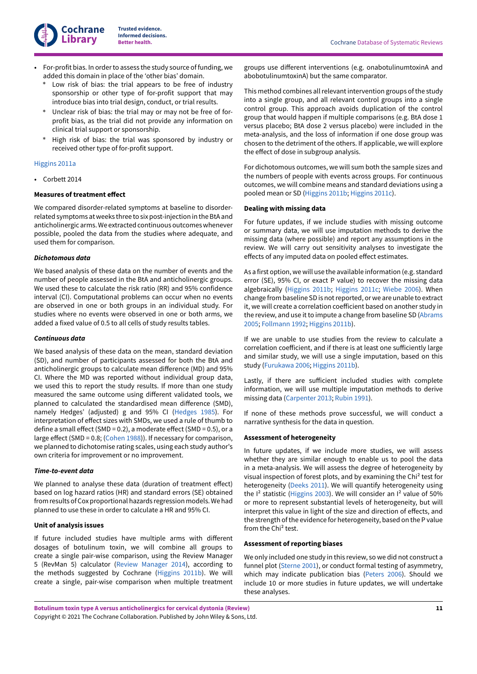

- For-profit bias. In orderto assess the study source of funding, we added this domain in place of the 'other bias' domain.
	- Low risk of bias: the trial appears to be free of industry sponsorship or other type of for-profit support that may introduce bias into trial design, conduct, or trial results.
	- \* Unclear risk of bias: the trial may or may not be free of forprofit bias, as the trial did not provide any information on clinical trial support or sponsorship.
	- High risk of bias: the trial was sponsored by industry or received other type of for-profit support.

#### [Higgins 2011a](#page-19-12)

• Corbett 2014

#### **Measures of treatment effect**

We compared disorder-related symptoms at baseline to disorderrelated symptoms at weeks three to six post-injection in the BtA and anticholinergic arms. We extracted continuous outcomes whenever possible, pooled the data from the studies where adequate, and used them for comparison.

#### *Dichotomous data*

We based analysis of these data on the number of events and the number of people assessed in the BtA and anticholinergic groups. We used these to calculate the risk ratio (RR) and 95% confidence interval (CI). Computational problems can occur when no events are observed in one or both groups in an individual study. For studies where no events were observed in one or both arms, we added a fixed value of 0.5 to all cells of study results tables.

#### *Continuous data*

We based analysis of these data on the mean, standard deviation (SD), and number of participants assessed for both the BtA and anticholinergic groups to calculate mean difference (MD) and 95% CI. Where the MD was reported without individual group data, we used this to report the study results. If more than one study measured the same outcome using different validated tools, we planned to calculated the standardised mean difference (SMD), namely Hedges' (adjusted) g and 95% CI ([Hedges](#page-19-13) 1985). For interpretation of effect sizes with SMDs, we used a rule of thumb to define a small effect (SMD = 0.2), a moderate effect (SMD = 0.5), or a large effect (SMD = 0.8; ([Cohen 1988\)](#page-18-8)). If necessary for comparison, we planned to dichotomise rating scales, using each study author's own criteria for improvement or no improvement.

#### *Time-to-event data*

We planned to analyse these data (duration of treatment effect) based on log hazard ratios (HR) and standard errors (SE) obtained from results of Cox proportional hazards regression models. We had planned to use these in order to calculate a HR and 95% CI.

#### **Unit of analysis issues**

If future included studies have multiple arms with different dosages of botulinum toxin, we will combine all groups to create a single pair-wise comparison, using the Review Manager 5 (RevMan 5) calculator (Review [Manager](#page-20-12) 2014), according to the methods suggested by Cochrane [\(Higgins 2011b\)](#page-19-14). We will create a single, pair-wise comparison when multiple treatment groups use different interventions (e.g. onabotulinumtoxinA and abobotulinumtoxinA) but the same comparator.

This method combines all relevant intervention groups of the study into a single group, and all relevant control groups into a single control group. This approach avoids duplication of the control group that would happen if multiple comparisons (e.g. BtA dose 1 versus placebo; BtA dose 2 versus placebo) were included in the meta-analysis, and the loss of information if one dose group was chosen to the detriment of the others. If applicable, we will explore the effect of dose in subgroup analysis.

For dichotomous outcomes, we will sum both the sample sizes and the numbers of people with events across groups. For continuous outcomes, we will combine means and standard deviations using a pooled mean or SD ([Higgins 2011b](#page-19-14); [Higgins 2011c](#page-19-15)).

# <span id="page-12-0"></span>**Dealing with missing data**

For future updates, if we include studies with missing outcome or summary data, we will use imputation methods to derive the missing data (where possible) and report any assumptions in the review. We will carry out sensitivity analyses to investigate the effects of any imputed data on pooled effect estimates.

As a first option, we will use the available information (e.g. standard error (SE), 95% CI, or exact P value) to recover the missing data algebraically ([Higgins 2011b](#page-19-14); [Higgins 2011c](#page-19-15); [Wiebe 2006\)](#page-21-8). When change from baseline SDis notreported, or we are unable to extract it, we will create a correlation coefficient based on another study in the review, and use it to impute a change from baseline SD [\(Abrams](#page-18-9) [2005;](#page-18-9) [Follmann](#page-19-16) 1992; [Higgins 2011b\)](#page-19-14).

If we are unable to use studies from the review to calculate a correlation coefficient, and if there is at least one sufficiently large and similar study, we will use a single imputation, based on this study ([Furukawa](#page-19-17) 2006; [Higgins 2011b](#page-19-14)).

Lastly, if there are sufficient included studies with complete information, we will use multiple imputation methods to derive missing data ([Carpenter](#page-18-10) 2013; [Rubin 1991](#page-21-9)).

If none of these methods prove successful, we will conduct a narrative synthesis for the data in question.

# **Assessment of heterogeneity**

In future updates, if we include more studies, we will assess whether they are similar enough to enable us to pool the data in a meta-analysis. We will assess the degree of heterogeneity by visual inspection of forest plots, and by examining the Chi2 test for heterogeneity [\(Deeks 2011\)](#page-18-11). We will quantify heterogeneity using the  $I<sup>2</sup>$  statistic [\(Higgins 2003\)](#page-19-18). We will consider an  $I<sup>2</sup>$  value of 50% or more to represent substantial levels of heterogeneity, but will interpret this value in light of the size and direction of effects, and the strength of the evidence for heterogeneity, based on the P value from the Chi2 test.

#### **Assessment of reporting biases**

We only included one study in this review, so we did not construct a funnel plot ([Sterne](#page-21-10) 2001), or conduct formal testing of asymmetry, which may indicate publication bias [\(Peters](#page-20-13) 2006). Should we include 10 or more studies in future updates, we will undertake these analyses.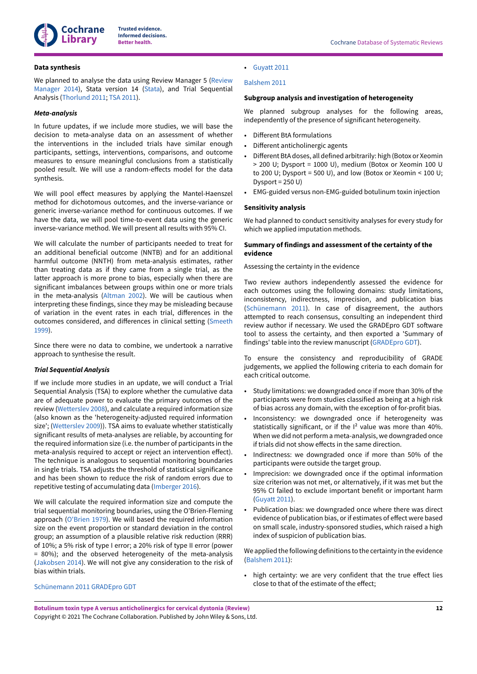

# **Data synthesis**

We planned to analyse the data using Review Manager 5 ([Review](#page-20-12) [Manager](#page-20-12) 2014), Stata version 14 [\(Stata\)](#page-21-11), and Trial Sequential Analysis ([Thorlund 2011](#page-21-12); TSA [2011](#page-21-13)).

# *Meta-analysis*

In future updates, if we include more studies, we will base the decision to meta-analyse data on an assessment of whether the interventions in the included trials have similar enough participants, settings, interventions, comparisons, and outcome measures to ensure meaningful conclusions from a statistically pooled result. We will use a random-effects model for the data synthesis.

We will pool effect measures by applying the Mantel-Haenszel method for dichotomous outcomes, and the inverse-variance or generic inverse-variance method for continuous outcomes. If we have the data, we will pool time-to-event data using the generic inverse-variance method. We will present all results with 95% CI.

We will calculate the number of participants needed to treat for an additional beneficial outcome (NNTB) and for an additional harmful outcome (NNTH) from meta-analysis estimates, rather than treating data as if they came from a single trial, as the latter approach is more prone to bias, especially when there are significant imbalances between groups within one or more trials in the meta-analysis [\(Altman 2002](#page-18-12)). We will be cautious when interpreting these findings, since they may be misleading because of variation in the event rates in each trial, differences in the outcomes considered, and differences in clinical setting ([Smeeth](#page-21-14) [1999](#page-21-14)).

Since there were no data to combine, we undertook a narrative approach to synthesise the result.

# *Trial Sequential Analysis*

If we include more studies in an update, we will conduct a Trial Sequential Analysis (TSA) to explore whether the cumulative data are of adequate power to evaluate the primary outcomes of the review ([Wetterslev](#page-21-15) 2008), and calculate a required information size (also known as the 'heterogeneity-adjusted required information size'; ([Wetterslev](#page-21-16) 2009)). TSA aims to evaluate whether statistically significant results of meta-analyses are reliable, by accounting for the required information size (i.e. the number of participants in the meta-analysis required to accept or reject an intervention effect). The technique is analogous to sequential monitoring boundaries in single trials. TSA adjusts the threshold of statistical significance and has been shown to reduce the risk of random errors due to repetitive testing of accumulating data ([Imberger](#page-20-14) 2016).

We will calculate the required information size and compute the trial sequential monitoring boundaries, using the O'Brien-Fleming approach ([O'Brien 1979\)](#page-20-15). We will based the required information size on the event proportion or standard deviation in the control group; an assumption of a plausible relative risk reduction (RRR) of 10%; a 5% risk of type I error; a 20% risk of type II error (power = 80%); and the observed heterogeneity of the meta-analysis [\(Jakobsen](#page-20-16) 2014). We will not give any consideration to the risk of bias within trials.

# [Schünemann 2011](#page-21-17) [GRADEpro](#page-19-19) GDT

# • [Guyatt](#page-19-20) 2011

#### [Balshem 2011](#page-18-13)

# **Subgroup analysis and investigation of heterogeneity**

We planned subgroup analyses for the following areas, independently of the presence of significant heterogeneity.

- Different BtA formulations
- Different anticholinergic agents
- Different BtA doses, all defined arbitrarily: high (Botox or Xeomin > 200 U; Dysport = 1000 U), medium (Botox or Xeomin 100 U to 200 U; Dysport = 500 U), and low (Botox or Xeomin  $\leq 100$  U; Dysport =  $250 \text{ U}$ )
- EMG-guided versus non-EMG-guided botulinum toxin injection

# **Sensitivity analysis**

We had planned to conduct sensitivity analyses for every study for which we applied imputation methods.

# **Summary of findings and assessment of the certainty of the evidence**

Assessing the certainty in the evidence

Two review authors independently assessed the evidence for each outcomes using the following domains: study limitations, inconsistency, indirectness, imprecision, and publication bias [\(Schünemann 2011\)](#page-21-17). In case of disagreement, the authors attempted to reach consensus, consulting an independent third review author if necessary. We used the GRADEpro GDT software tool to assess the certainty, and then exported a 'Summary of findings' table into the review manuscript ([GRADEpro](#page-19-19) GDT).

To ensure the consistency and reproducibility of GRADE judgements, we applied the following criteria to each domain for each critical outcome.

- Study limitations: we downgraded once if more than 30% of the participants were from studies classified as being at a high risk of bias across any domain, with the exception of for-profit bias.
- Inconsistency: we downgraded once if heterogeneity was statistically significant, or if the  $I<sup>2</sup>$  value was more than 40%. When we did not perform a meta-analysis, we downgraded once if trials did not show effects in the same direction.
- Indirectness: we downgraded once if more than 50% of the participants were outside the target group.
- Imprecision: we downgraded once if the optimal information size criterion was not met, or alternatively, if it was met but the 95% CI failed to exclude important benefit or important harm ([Guyatt](#page-19-20) 2011).
- Publication bias: we downgraded once where there was direct evidence of publication bias, or if estimates of effect were based on small scale, industry-sponsored studies, which raised a high index of suspicion of publication bias.

We applied the following definitions to the certainty in the evidence [\(Balshem 2011\)](#page-18-13):

• high certainty: we are very confident that the true effect lies close to that of the estimate of the effect;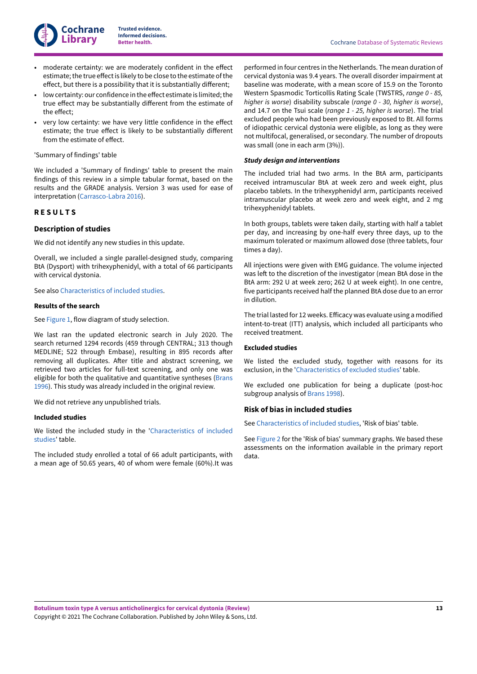

- moderate certainty: we are moderately confident in the effect estimate; the true effect is likely to be close to the estimate of the effect, but there is a possibility that it is substantially different;
- low certainty: our confidence in the effect estimate is limited; the true effect may be substantially different from the estimate of the effect:
- very low certainty: we have very little confidence in the effect estimate; the true effect is likely to be substantially different from the estimate of effect.

#### 'Summary of findings' table

We included a 'Summary of findings' table to present the main findings of this review in a simple tabular format, based on the results and the GRADE analysis. Version 3 was used for ease of interpretation ([Carrasco-Labra](#page-18-14) 2016).

# <span id="page-14-0"></span>**R E S U L T S**

#### **Description of studies**

We did not identify any new studies in this update.

Overall, we included a single parallel-designed study, comparing BtA (Dysport) with trihexyphenidyl, with a total of 66 participants with cervical dystonia.

See also [Characteristics](#page-22-1) of included studies.

#### **Results of the search**

See [Figure](#page-10-0) 1, flow diagram of study selection.

We last ran the updated electronic search in July 2020. The search returned 1294 records (459 through CENTRAL; 313 though MEDLINE; 522 through Embase), resulting in 895 records after removing all duplicates. After title and abstract screening, we retrieved two articles for full-text screening, and only one was eligible for both the qualitative and quantitative syntheses [\(Brans](#page-18-15) [1996](#page-18-15)). This study was already included in the original review.

We did not retrieve any unpublished trials.

#### **Included studies**

We listed the included study in the '[Characteristics](#page-22-1) of included [studies](#page-22-1)' table.

The included study enrolled a total of 66 adult participants, with a mean age of 50.65 years, 40 of whom were female (60%).It was

performed in four centres in the Netherlands. The mean duration of cervical dystonia was 9.4 years. The overall disorder impairment at baseline was moderate, with a mean score of 15.9 on the Toronto Western Spasmodic Torticollis Rating Scale (TWSTRS, *range 0 - 85, higher is worse*) disability subscale (*range 0 - 30, higher is worse*), and 14.7 on the Tsui scale (*range 1 - 25, higher is worse*). The trial excluded people who had been previously exposed to Bt. All forms of idiopathic cervical dystonia were eligible, as long as they were not multifocal, generalised, or secondary. The number of dropouts was small (one in each arm (3%)).

#### *Study design and interventions*

The included trial had two arms. In the BtA arm, participants received intramuscular BtA at week zero and week eight, plus placebo tablets. In the trihexyphenidyl arm, participants received intramuscular placebo at week zero and week eight, and 2 mg trihexyphenidyl tablets.

In both groups, tablets were taken daily, starting with half a tablet per day, and increasing by one-half every three days, up to the maximum tolerated or maximum allowed dose (three tablets, four times a day).

All injections were given with EMG guidance. The volume injected was left to the discretion of the investigator (mean BtA dose in the BtA arm: 292 U at week zero; 262 U at week eight). In one centre, five participants received half the planned BtA dose due to an error in dilution.

The trial lasted for 12 weeks. Efficacy was evaluate using a modified intent-to-treat (ITT) analysis, which included all participants who received treatment.

#### **Excluded studies**

We listed the excluded study, together with reasons for its exclusion, in the '[Characteristics](#page-24-2) of excluded studies' table.

We excluded one publication for being a duplicate (post-hoc subgroup analysis of [Brans](#page-18-16) 1998).

#### **Risk of bias in included studies**

See [Characteristics](#page-22-1) of included studies, 'Risk of bias' table.

See [Figure](#page-15-0) 2 for the 'Risk of bias' summary graphs. We based these assessments on the information available in the primary report data.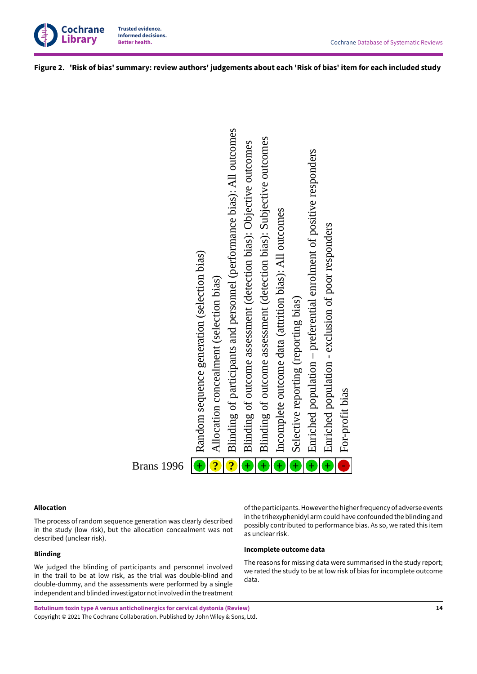

<span id="page-15-0"></span>Figure 2. 'Risk of bias' summary: review authors' judgements about each 'Risk of bias' item for each included study

# **Allocation**

The process of random sequence generation was clearly described in the study (low risk), but the allocation concealment was not described (unclear risk).

#### **Blinding**

We judged the blinding of participants and personnel involved in the trail to be at low risk, as the trial was double-blind and double-dummy, and the assessments were performed by a single independent and blinded investigator not involved in the treatment

**Botulinum toxin type A versus anticholinergics for cervical dystonia (Review)** Copyright © 2021 The Cochrane Collaboration. Published by John Wiley & Sons, Ltd.

of the participants. However the higher frequency of adverse events in the trihexyphenidyl arm could have confounded the blinding and possibly contributed to performance bias. As so, we rated this item as unclear risk.

# **Incomplete outcome data**

The reasons for missing data were summarised in the study report; we rated the study to be at low risk of bias for incomplete outcome data.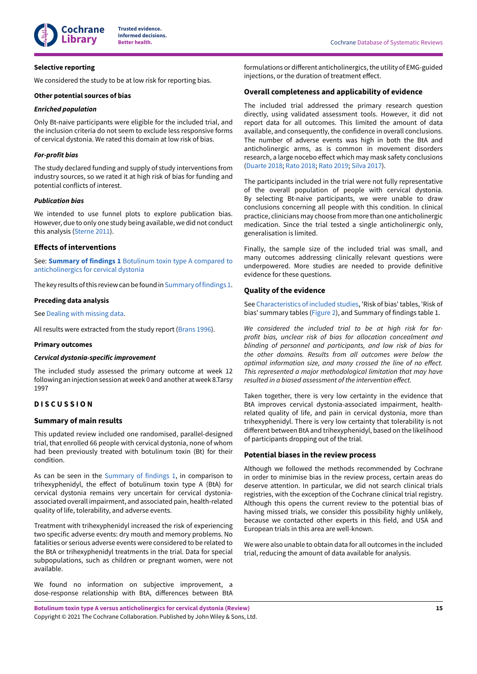

# **Selective reporting**

We considered the study to be at low risk for reporting bias.

#### **Other potential sources of bias**

#### *Enriched population*

Only Bt-naive participants were eligible for the included trial, and the inclusion criteria do not seem to exclude less responsive forms of cervical dystonia. We rated this domain at low risk of bias.

# *For-profit bias*

The study declared funding and supply of study interventions from industry sources, so we rated it at high risk of bias for funding and potential conflicts of interest.

#### *Publication bias*

We intended to use funnel plots to explore publication bias. However, due to only one study being available, we did not conduct this analysis [\(Sterne](#page-21-18) 2011).

# **Effects of interventions**

See: **Summary of findings 1** [Botulinum](#page-4-1) toxin type A compared to [anticholinergics](#page-4-1) for cervical dystonia

The key results of this review can be found in Summary of findings 1.

### **Preceding data analysis**

See Dealing with [missing](#page-12-0) data.

All results were extracted from the study report [\(Brans](#page-18-15) 1996).

#### **Primary outcomes**

#### *Cervical dystonia-specific improvement*

The included study assessed the primary outcome at week 12 following an injection session atweek 0 and another atweek 8.Tarsy 1997

# <span id="page-16-0"></span>**D I S C U S S I O N**

# **Summary of main results**

This updated review included one randomised, parallel-designed trial, that enrolled 66 people with cervical dystonia, none of whom had been previously treated with botulinum toxin (Bt) for their condition.

As can be seen in the [Summary](#page-4-1) of findings 1, in comparison to trihexyphenidyl, the effect of botulinum toxin type A (BtA) for cervical dystonia remains very uncertain for cervical dystoniaassociated overall impairment, and associated pain, health-related quality of life, tolerability, and adverse events.

Treatment with trihexyphenidyl increased the risk of experiencing two specific adverse events: dry mouth and memory problems. No fatalities or serious adverse events were considered to be related to the BtA or trihexyphenidyl treatments in the trial. Data for special subpopulations, such as children or pregnant women, were not available.

We found no information on subjective improvement, a dose-response relationship with BtA, differences between BtA

formulations or different anticholinergics, the utility of EMG-guided injections, or the duration of treatment effect.

# **Overall completeness and applicability of evidence**

The included trial addressed the primary research question directly, using validated assessment tools. However, it did not report data for all outcomes. This limited the amount of data available, and consequently, the confidence in overall conclusions. The number of adverse events was high in both the BtA and anticholinergic arms, as is common in movement disorders research, a large nocebo effect which may mask safety conclusions [\(Duarte](#page-19-11) 2018; Rato [2018;](#page-20-17) Rato [2019;](#page-20-18) Silva [2017\)](#page-21-19).

The participants included in the trial were not fully representative of the overall population of people with cervical dystonia. By selecting Bt-naive participants, we were unable to draw conclusions concerning all people with this condition. In clinical practice, clinicians may choose from more than one anticholinergic medication. Since the trial tested a single anticholinergic only, generalisation is limited.

Finally, the sample size of the included trial was small, and many outcomes addressing clinically relevant questions were underpowered. More studies are needed to provide definitive evidence for these questions.

#### **Quality of the evidence**

See [Characteristics](#page-22-1) of included studies, 'Risk of bias' tables, 'Risk of bias' summary tables [\(Figure](#page-15-0) 2), and Summary of findings table 1.

*We considered the included trial to be at high risk for forprofit bias, unclear risk of bias for allocation concealment and blinding of personnel and participants, and low risk of bias for the other domains. Results from all outcomes were below the optimal information size, and many crossed the line of no effect. This represented a major methodological limitation that may have resulted* in a biased assessment of the intervention effect.

Taken together, there is very low certainty in the evidence that BtA improves cervical dystonia-associated impairment, healthrelated quality of life, and pain in cervical dystonia, more than trihexyphenidyl. There is very low certainty that tolerability is not different between BtA and trihexyphenidyl, based on the likelihood of participants dropping out of the trial.

#### **Potential biases in the review process**

Although we followed the methods recommended by Cochrane in order to minimise bias in the review process, certain areas do deserve attention. In particular, we did not search clinical trials registries, with the exception of the Cochrane clinical trial registry. Although this opens the current review to the potential bias of having missed trials, we consider this possibility highly unlikely, because we contacted other experts in this field, and USA and European trials in this area are well-known.

We were also unable to obtain data for all outcomes in the included trial, reducing the amount of data available for analysis.

**Botulinum toxin type A versus anticholinergics for cervical dystonia (Review)** Copyright © 2021 The Cochrane Collaboration. Published by John Wiley & Sons, Ltd.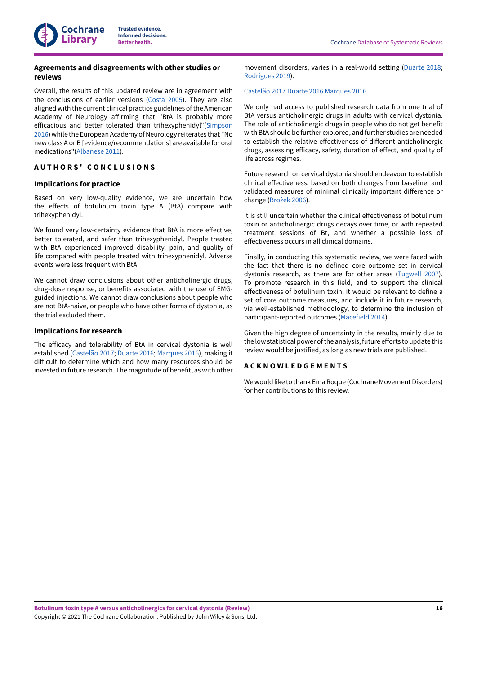# **Agreements and disagreements with other studies or reviews**

Overall, the results of this updated review are in agreement with the conclusions of earlier versions ([Costa](#page-21-0) 2005). They are also aligned with the current clinical practice guidelines ofthe American Academy of Neurology affirming that "BtA is probably more efficacious and better tolerated than trihexyphenidyl"([Simpson](#page-21-20) [2016](#page-21-20)) while the European Academy of Neurology reiterates that "No new class A or B [evidence/recommendations] are available for oral medications"([Albanese](#page-18-17) 2011).

# <span id="page-17-0"></span>**A U T H O R S ' C O N C L U S I O N S**

# **Implications for practice**

Based on very low-quality evidence, we are uncertain how the effects of botulinum toxin type A (BtA) compare with trihexyphenidyl.

We found very low-certainty evidence that BtA is more effective, better tolerated, and safer than trihexyphenidyl. People treated with BtA experienced improved disability, pain, and quality of life compared with people treated with trihexyphenidyl. Adverse events were less frequent with BtA.

We cannot draw conclusions about other anticholinergic drugs, drug-dose response, or benefits associated with the use of EMGguided injections. We cannot draw conclusions about people who are not BtA-naive, or people who have other forms of dystonia, as the trial excluded them.

# **Implications for research**

The efficacy and tolerability of BtA in cervical dystonia is well established [\(Castelão](#page-18-6) 2017; [Duarte](#page-19-10) 2016; [Marques](#page-20-10) 2016), making it difficult to determine which and how many resources should be invested in future research. The magnitude of benefit, as with other movement disorders, varies in a real-world setting [\(Duarte](#page-19-11) 2018; [Rodrigues](#page-20-19) 2019).

# [Castelão](#page-18-6) 2017 [Duarte](#page-19-10) 2016 [Marques](#page-20-10) 2016

We only had access to published research data from one trial of BtA versus anticholinergic drugs in adults with cervical dystonia. The role of anticholinergic drugs in people who do not get benefit with BtA should be further explored, and further studies are needed to establish the relative effectiveness of different anticholinergic drugs, assessing efficacy, safety, duration of effect, and quality of life across regimes.

Future research on cervical dystonia should endeavour to establish clinical effectiveness, based on both changes from baseline, and validated measures of minimal clinically important difference or change ([Brożek](#page-18-18) 2006).

It is still uncertain whether the clinical effectiveness of botulinum toxin or anticholinergic drugs decays over time, or with repeated treatment sessions of Bt, and whether a possible loss of effectiveness occurs in all clinical domains.

Finally, in conducting this systematic review, we were faced with the fact that there is no defined core outcome set in cervical dystonia research, as there are for other areas ([Tugwell](#page-21-21) 2007). To promote research in this field, and to support the clinical effectiveness of botulinum toxin, it would be relevant to define a set of core outcome measures, and include it in future research, via well-established methodology, to determine the inclusion of participant-reported outcomes [\(Macefield](#page-20-20) 2014).

Given the high degree of uncertainty in the results, mainly due to the low statistical power of the analysis, future efforts to update this review would be justified, as long as new trials are published.

# <span id="page-17-1"></span>**A C K N O W L E D G E M E N T S**

We would like to thank Ema Roque (Cochrane Movement Disorders) for her contributions to this review.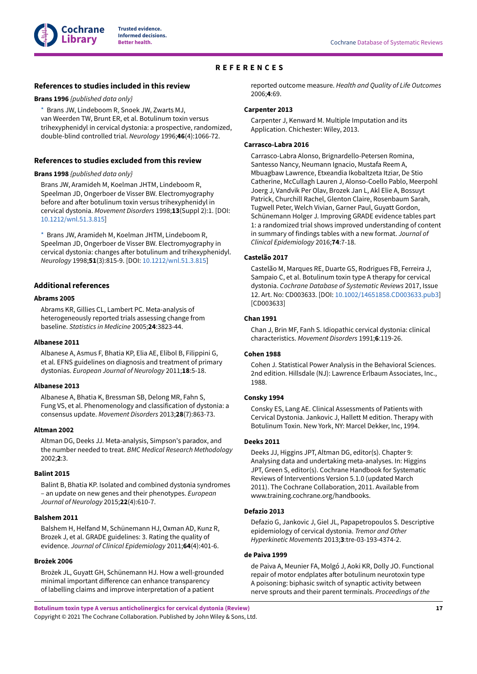

# **REFERENCES**

# <span id="page-18-0"></span>**References to studies included in this review**

<span id="page-18-15"></span>**Brans 1996** *{published data only}*

[\\*](#page-22-2)  Brans JW, Lindeboom R, Snoek JW, Zwarts MJ, van Weerden TW, Brunt ER, et al. Botulinum toxin versus trihexyphenidyl in cervical dystonia: a prospective, randomized, double-blind controlled trial. *Neurology* 1996;**46**(4):1066-72.

# **References to studies excluded from this review**

#### <span id="page-18-16"></span>**Brans 1998** *{published data only}*

Brans JW, Aramideh M, Koelman JHTM, Lindeboom R, Speelman JD, Ongerboer de Visser BW. Electromyography before and after botulinum toxin versus trihexyphenidyl in cervical dystonia. *Movement Disorders* 1998;**13**(Suppl 2):1. [DOI: [10.1212/wnl.51.3.815](https://doi.org/10.1212%2Fwnl.51.3.815)]

Brans JW, Aramideh M, Koelman JHTM, Lindeboom R, Speelman JD, Ongerboer de Visser BW. Electromyography in cervical dystonia: changes after botulinum and trihexyphenidyl. *Neurology* 1998;**51**(3):815-9. [DOI: [10.1212/wnl.51.3.815](https://doi.org/10.1212%2Fwnl.51.3.815)]

# **Additional references**

#### <span id="page-18-9"></span>**Abrams 2005**

Abrams KR, Gillies CL, Lambert PC. Meta-analysis of heterogeneously reported trials assessing change from baseline. *Statistics in Medicine* 2005;**24**:3823-44.

#### <span id="page-18-17"></span>**Albanese 2011**

Albanese A, Asmus F, Bhatia KP, Elia AE, Elibol B, Filippini G, et al. EFNS guidelines on diagnosis and treatment of primary dystonias. *European Journal of Neurology* 2011;**18**:5-18.

#### <span id="page-18-1"></span>**Albanese 2013**

Albanese A, Bhatia K, Bressman SB, Delong MR, Fahn S, Fung VS, et al. Phenomenology and classification of dystonia: a consensus update. *Movement Disorders* 2013;**28**(7):863-73.

#### <span id="page-18-12"></span>**Altman 2002**

Altman DG, Deeks JJ. Meta-analysis, Simpson's paradox, and the number needed to treat. *BMC Medical Research Methodology* 2002;**2**:3.

#### <span id="page-18-4"></span>**Balint 2015**

Balint B, Bhatia KP. Isolated and combined dystonia syndromes – an update on new genes and their phenotypes. *European Journal of Neurology* 2015;**22**(4):610-7.

#### <span id="page-18-13"></span>**Balshem 2011**

Balshem H, Helfand M, Schünemann HJ, Oxman AD, Kunz R, Brozek J, et al. GRADE guidelines: 3. Rating the quality of evidence. *Journal of Clinical Epidemiology* 2011;**64**(4):401-6.

#### <span id="page-18-18"></span>**Brożek 2006**

Brożek JL, Guyatt GH, Schünemann HJ. How a well-grounded minimal important difference can enhance transparency of labelling claims and improve interpretation of a patient

reported outcome measure. *Health and Quality of Life Outcomes* 2006;**4**:69.

#### <span id="page-18-10"></span>**Carpenter 2013**

Carpenter J, Kenward M. Multiple Imputation and its Application. Chichester: Wiley, 2013.

#### <span id="page-18-14"></span>**Carrasco-Labra 2016**

Carrasco-Labra Alonso, Brignardello-Petersen Romina, Santesso Nancy, Neumann Ignacio, Mustafa Reem A, Mbuagbaw Lawrence, Etxeandia Ikobaltzeta Itziar, De Stio Catherine, McCullagh Lauren J, Alonso-Coello Pablo, Meerpohl Joerg J, Vandvik Per Olav, Brozek Jan L, Akl Elie A, Bossuyt Patrick, Churchill Rachel, Glenton Claire, Rosenbaum Sarah, Tugwell Peter, Welch Vivian, Garner Paul, Guyatt Gordon, Schünemann Holger J. Improving GRADE evidence tables part 1: a randomized trial shows improved understanding of content in summary of findings tables with a new format. *Journal of Clinical Epidemiology* 2016;**74**:7-18.

#### <span id="page-18-6"></span>**Castelão 2017**

Castelão M, Marques RE, Duarte GS, Rodrigues FB, Ferreira J, Sampaio C, et al. Botulinum toxin type A therapy for cervical dystonia. *Cochrane Database of Systematic Reviews* 2017, Issue 12. Art. No: CD003633. [DOI: [10.1002/14651858.CD003633.pub3\]](https://doi.org/10.1002%2F14651858.CD003633.pub3) [CD003633]

# <span id="page-18-3"></span>**Chan 1991**

Chan J, Brin MF, Fanh S. Idiopathic cervical dystonia: clinical characteristics. *Movement Disorders* 1991;**6**:119-26.

#### <span id="page-18-8"></span>**Cohen 1988**

Cohen J. Statistical Power Analysis in the Behavioral Sciences. 2nd edition. Hillsdale (NJ): Lawrence Erlbaum Associates, Inc., 1988.

# <span id="page-18-7"></span>**Consky 1994**

Consky ES, Lang AE. Clinical Assessments of Patients with Cervical Dystonia. Jankovic J, Hallett M edition. Therapy with Botulinum Toxin. New York, NY: Marcel Dekker, Inc, 1994.

#### <span id="page-18-11"></span>**Deeks 2011**

Deeks JJ, Higgins JPT, Altman DG, editor(s). Chapter 9: Analysing data and undertaking meta-analyses. In: Higgins JPT, Green S, editor(s). Cochrane Handbook for Systematic Reviews of Interventions Version 5.1.0 (updated March 2011). The Cochrane Collaboration, 2011. Available from www.training.cochrane.org/handbooks.

#### <span id="page-18-2"></span>**Defazio 2013**

Defazio G, Jankovic J, Giel JL, Papapetropoulos S. Descriptive epidemiology of cervical dystonia. *Tremor and Other Hyperkinetic Movements* 2013;**3**:tre-03-193-4374-2.

#### <span id="page-18-5"></span>**de Paiva 1999**

de Paiva A, Meunier FA, Molgó J, Aoki KR, Dolly JO. Functional repair of motor endplates after botulinum neurotoxin type A poisoning: biphasic switch of synaptic activity between nerve sprouts and their parent terminals. *Proceedings of the*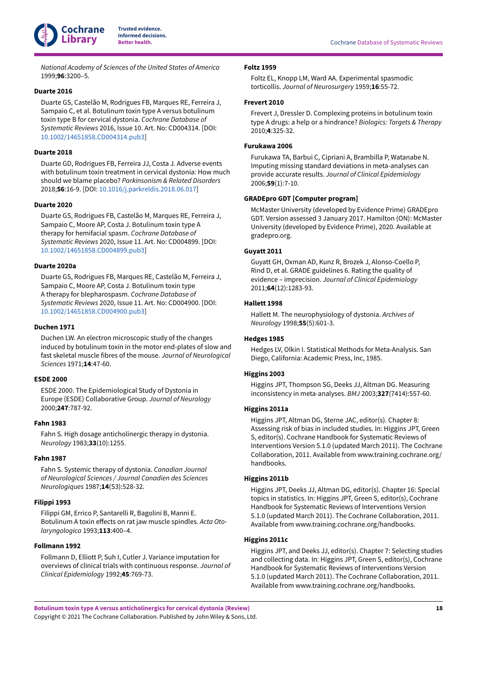

*National Academy of Sciences of the United States of America* 1999;**96**:3200–5.

#### <span id="page-19-10"></span>**Duarte 2016**

Duarte GS, Castelão M, Rodrigues FB, Marques RE, Ferreira J, Sampaio C, et al. Botulinum toxin type A versus botulinum toxin type B for cervical dystonia. *Cochrane Database of Systematic Reviews* 2016, Issue 10. Art. No: CD004314. [DOI: [10.1002/14651858.CD004314.pub3](https://doi.org/10.1002%2F14651858.CD004314.pub3)]

# <span id="page-19-11"></span>**Duarte 2018**

Duarte GD, Rodrigues FB, Ferreira JJ, Costa J. Adverse events with botulinum toxin treatment in cervical dystonia: How much should we blame placebo? *Parkinsonism & Related Disorders* 2018;**56**:16-9. [DOI: [10.1016/j.parkreldis.2018.06.017](https://doi.org/10.1016%2Fj.parkreldis.2018.06.017)]

#### <span id="page-19-8"></span>**Duarte 2020**

Duarte GS, Rodrigues FB, Castelão M, Marques RE, Ferreira J, Sampaio C, Moore AP, Costa J. Botulinum toxin type A therapy for hemifacial spasm. *Cochrane Database of Systematic Reviews* 2020, Issue 11. Art. No: CD004899. [DOI: [10.1002/14651858.CD004899.pub3](https://doi.org/10.1002%2F14651858.CD004899.pub3)]

# <span id="page-19-9"></span>**Duarte 2020a**

Duarte GS, Rodrigues FB, Marques RE, Castelão M, Ferreira J, Sampaio C, Moore AP, Costa J. Botulinum toxin type A therapy for blepharospasm. *Cochrane Database of Systematic Reviews* 2020, Issue 11. Art. No: CD004900. [DOI: [10.1002/14651858.CD004900.pub3](https://doi.org/10.1002%2F14651858.CD004900.pub3)]

#### <span id="page-19-4"></span>**Duchen 1971**

Duchen LW. An electron microscopic study of the changes induced by botulinum toxin in the motor end-plates of slow and fast skeletal muscle fibres of the mouse. *Journal of Neurological Sciences* 1971;**14**:47-60.

#### <span id="page-19-0"></span>**ESDE 2000**

ESDE 2000. The Epidemiological Study of Dystonia in Europe (ESDE) Collaborative Group. *Journal of Neurology* 2000;**247**:787-92.

#### <span id="page-19-6"></span>**Fahn 1983**

Fahn S. High dosage anticholinergic therapy in dystonia. *Neurology* 1983;**33**(10):1255.

# <span id="page-19-5"></span>**Fahn 1987**

Fahn S. Systemic therapy of dystonia. *Canadian Journal of Neurological Sciences / Journal Canadien des Sciences Neurologiques* 1987;**14**(S3):528-32.

#### <span id="page-19-7"></span>**Filippi 1993**

Filippi GM, Errico P, Santarelli R, Bagolini B, Manni E. Botulinum A toxin effects on rat jaw muscle spindles. Acta Oto*laryngologica* 1993;**113**:400–4.

### <span id="page-19-16"></span>**Follmann 1992**

Follmann D, Elliott P, Suh I, Cutler J. Variance imputation for overviews of clinical trials with continuous response. *Journal of Clinical Epidemiology* 1992;**45**:769-73.

#### <span id="page-19-1"></span>**Foltz 1959**

Foltz EL, Knopp LM, Ward AA. Experimental spasmodic torticollis. *Journal of Neurosurgery* 1959;**16**:55-72.

#### <span id="page-19-3"></span>**Frevert 2010**

Frevert J, Dressler D. Complexing proteins in botulinum toxin type A drugs: a help or a hindrance? *Biologics: Targets & Therapy* 2010;**4**:325-32.

# <span id="page-19-17"></span>**Furukawa 2006**

Furukawa TA, Barbui C, Cipriani A, Brambilla P, Watanabe N. Imputing missing standard deviations in meta-analyses can provide accurate results. *Journal of Clinical Epidemiology* 2006;**59**(1):7-10.

# <span id="page-19-19"></span>**GRADEpro GDT [Computer program]**

McMaster University (developed by Evidence Prime) GRADEpro GDT. Version assessed 3 January 2017. Hamilton (ON): McMaster University (developed by Evidence Prime), 2020. Available at gradepro.org.

#### <span id="page-19-20"></span>**Guyatt 2011**

Guyatt GH, Oxman AD, Kunz R, Brozek J, Alonso-Coello P, Rind D, et al. GRADE guidelines 6. Rating the quality of evidence – imprecision. *Journal of Clinical Epidemiology* 2011;**64**(12):1283-93.

# <span id="page-19-2"></span>**Hallett 1998**

Hallett M. The neurophysiology of dystonia. *Archives of Neurology* 1998;**55**(5):601-3.

#### <span id="page-19-13"></span>**Hedges 1985**

Hedges LV, Olkin I. Statistical Methods for Meta-Analysis. San Diego, California: Academic Press, Inc, 1985.

#### <span id="page-19-18"></span>**Higgins 2003**

Higgins JPT, Thompson SG, Deeks JJ, Altman DG. Measuring inconsistency in meta-analyses. *BMJ* 2003;**327**(7414):557-60.

#### <span id="page-19-12"></span>**Higgins 2011a**

Higgins JPT, Altman DG, Sterne JAC, editor(s). Chapter 8: Assessing risk of bias in included studies. In: Higgins JPT, Green S, editor(s). Cochrane Handbook for Systematic Reviews of Interventions Version 5.1.0 (updated March 2011). The Cochrane Collaboration, 2011. Available from www.training.cochrane.org/ handbooks.

# <span id="page-19-14"></span>**Higgins 2011b**

Higgins JPT, Deeks JJ, Altman DG, editor(s). Chapter 16: Special topics in statistics. In: Higgins JPT, Green S, editor(s), Cochrane Handbook for Systematic Reviews of Interventions Version 5.1.0 (updated March 2011). The Cochrane Collaboration, 2011. Available from www.training.cochrane.org/handbooks.

#### <span id="page-19-15"></span>**Higgins 2011c**

Higgins JPT, and Deeks JJ, editor(s). Chapter 7: Selecting studies and collecting data. In: Higgins JPT, Green S, editor(s), Cochrane Handbook for Systematic Reviews of Interventions Version 5.1.0 (updated March 2011). The Cochrane Collaboration, 2011. Available from www.training.cochrane.org/handbooks.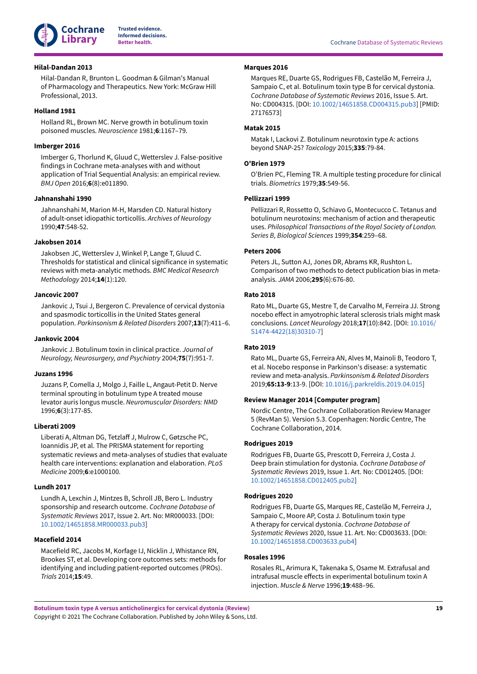

#### <span id="page-20-6"></span>**Hilal-Dandan 2013**

Hilal-Dandan R, Brunton L. Goodman & Gilman's Manual of Pharmacology and Therapeutics. New York: McGraw Hill Professional, 2013.

#### <span id="page-20-3"></span>**Holland 1981**

Holland RL, Brown MC. Nerve growth in botulinum toxin poisoned muscles. *Neuroscience* 1981;**6**:1167–79.

#### <span id="page-20-14"></span>**Imberger 2016**

Imberger G, Thorlund K, Gluud C, Wetterslev J. False-positive findings in Cochrane meta-analyses with and without application of Trial Sequential Analysis: an empirical review. *BMJ Open* 2016;**6**(8):e011890.

#### <span id="page-20-1"></span>**Jahnanshahi 1990**

Jahnanshahi M, Marion M-H, Marsden CD. Natural history of adult-onset idiopathic torticollis. *Archives of Neurology* 1990;**47**:548-52.

# <span id="page-20-16"></span>**Jakobsen 2014**

Jakobsen JC, Wetterslev J, Winkel P, Lange T, Gluud C. Thresholds for statistical and clinical significance in systematic reviews with meta-analytic methods. *BMC Medical Research Methodology* 2014;**14**(1):120.

# <span id="page-20-0"></span>**Jancovic 2007**

Jankovic J, Tsui J, Bergeron C. Prevalence of cervical dystonia and spasmodic torticollis in the United States general population. *Parkinsonism & Related Disorders* 2007;**13**(7):411–6.

#### <span id="page-20-5"></span>**Jankovic 2004**

Jankovic J. Botulinum toxin in clinical practice. *Journal of Neurology, Neurosurgery, and Psychiatry* 2004;**75**(7):951-7.

#### <span id="page-20-4"></span>**Juzans 1996**

Juzans P, Comella J, Molgo J, Faille L, Angaut-Petit D. Nerve terminal sprouting in botulinum type A treated mouse levator auris longus muscle. *Neuromuscular Disorders: NMD* 1996;**6**(3):177-85.

#### <span id="page-20-11"></span>**Liberati 2009**

Liberati A, Altman DG, Tetzlaff J, Mulrow C, Gøtzsche PC, Ioannidis JP, et al. The PRISMA statement for reporting systematic reviews and meta-analyses of studies that evaluate health care interventions: explanation and elaboration. *PLoS Medicine* 2009;**6**:e1000100.

#### <span id="page-20-21"></span>**Lundh 2017**

Lundh A, Lexchin J, Mintzes B, Schroll JB, Bero L. Industry sponsorship and research outcome. *Cochrane Database of Systematic Reviews* 2017, Issue 2. Art. No: MR000033. [DOI: [10.1002/14651858.MR000033.pub3](https://doi.org/10.1002%2F14651858.MR000033.pub3)]

# <span id="page-20-20"></span>**Macefield 2014**

Macefield RC, Jacobs M, Korfage IJ, Nicklin J, Whistance RN, Brookes ST, et al. Developing core outcomes sets: methods for identifying and including patient-reported outcomes (PROs). *Trials* 2014;**15**:49.

#### <span id="page-20-10"></span>**Marques 2016**

Marques RE, Duarte GS, Rodrigues FB, Castelão M, Ferreira J, Sampaio C, et al. Botulinum toxin type B for cervical dystonia. *Cochrane Database of Systematic Reviews* 2016, Issue 5. Art. No: CD004315. [DOI: [10.1002/14651858.CD004315.pub3\]](https://doi.org/10.1002%2F14651858.CD004315.pub3) [PMID: 27176573]

# <span id="page-20-7"></span>**Matak 2015**

Matak I, Lackovi Z. Botulinum neurotoxin type A: actions beyond SNAP-25? *Toxicology* 2015;**335**:79-84.

#### <span id="page-20-15"></span>**O'Brien 1979**

O'Brien PC, Fleming TR. A multiple testing procedure for clinical trials. *Biometrics* 1979;**35**:549-56.

#### <span id="page-20-2"></span>**Pellizzari 1999**

Pellizzari R, Rossetto O, Schiavo G, Montecucco C. Tetanus and botulinum neurotoxins: mechanism of action and therapeutic uses. *Philosophical Transactions of the Royal Society of London. Series B, Biological Sciences* 1999;**354**:259–68.

#### <span id="page-20-13"></span>**Peters 2006**

Peters JL, Sutton AJ, Jones DR, Abrams KR, Rushton L. Comparison of two methods to detect publication bias in metaanalysis. *JAMA* 2006;**295**(6):676-80.

# <span id="page-20-17"></span>**Rato 2018**

Rato ML, Duarte GS, Mestre T, de Carvalho M, Ferreira JJ. Strong nocebo effect in amyotrophic lateral sclerosis trials might mask conclusions. *Lancet Neurology* 2018;**17**(10):842. [DOI: [10.1016/](https://doi.org/10.1016%2FS1474-4422%2818%2930310-7) [S1474-4422\(18\)30310-7\]](https://doi.org/10.1016%2FS1474-4422%2818%2930310-7)

#### <span id="page-20-18"></span>**Rato 2019**

Rato ML, Duarte GS, Ferreira AN, Alves M, Mainoli B, Teodoro T, et al. Nocebo response in Parkinson's disease: a systematic review and meta-analysis. *Parkinsonism & Related Disorders* 2019;**65:13-9**:13-9. [DOI: [10.1016/j.parkreldis.2019.04.015](https://doi.org/10.1016%2Fj.parkreldis.2019.04.015)]

#### <span id="page-20-12"></span>**Review Manager 2014 [Computer program]**

Nordic Centre, The Cochrane Collaboration Review Manager 5 (RevMan 5). Version 5.3. Copenhagen: Nordic Centre, The Cochrane Collaboration, 2014.

#### <span id="page-20-19"></span>**Rodrigues 2019**

Rodrigues FB, Duarte GS, Prescott D, Ferreira J, Costa J. Deep brain stimulation for dystonia. *Cochrane Database of Systematic Reviews* 2019, Issue 1. Art. No: CD012405. [DOI: [10.1002/14651858.CD012405.pub2\]](https://doi.org/10.1002%2F14651858.CD012405.pub2)

#### <span id="page-20-9"></span>**Rodrigues 2020**

Rodrigues FB, Duarte GS, Marques RE, Castelão M, Ferreira J, Sampaio C, Moore AP, Costa J. Botulinum toxin type A therapy for cervical dystonia. *Cochrane Database of Systematic Reviews* 2020, Issue 11. Art. No: CD003633. [DOI: [10.1002/14651858.CD003633.pub4\]](https://doi.org/10.1002%2F14651858.CD003633.pub4)

#### <span id="page-20-8"></span>**Rosales 1996**

Rosales RL, Arimura K, Takenaka S, Osame M. Extrafusal and intrafusal muscle effects in experimental botulinum toxin A injection. *Muscle & Nerve* 1996;**19**:488–96.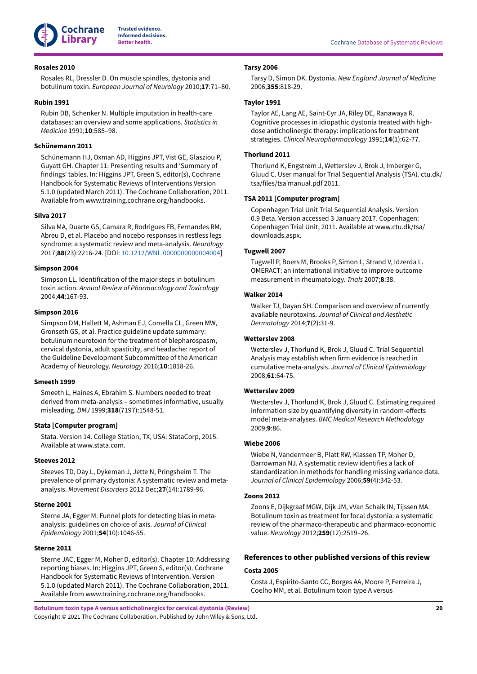

#### <span id="page-21-7"></span>**Rosales 2010**

Rosales RL, Dressler D. On muscle spindles, dystonia and botulinum toxin. *European Journal of Neurology* 2010;**17**:71–80.

#### <span id="page-21-9"></span>**Rubin 1991**

Rubin DB, Schenker N. Multiple imputation in health-care databases: an overview and some applications. *Statistics in Medicine* 1991;**10**:585–98.

# <span id="page-21-17"></span>**Schünemann 2011**

Schünemann HJ, Oxman AD, Higgins JPT, Vist GE, Glasziou P, Guyatt GH. Chapter 11: Presenting results and 'Summary of findings' tables. In: Higgins JPT, Green S, editor(s), Cochrane Handbook for Systematic Reviews of Interventions Version 5.1.0 (updated March 2011). The Cochrane Collaboration, 2011. Available from www.training.cochrane.org/handbooks.

#### <span id="page-21-19"></span>**Silva 2017**

Silva MA, Duarte GS, Camara R, Rodrigues FB, Fernandes RM, Abreu D, et al. Placebo and nocebo responses in restless legs syndrome: a systematic review and meta-analysis. *Neurology* 2017;**88**(23):2216-24. [DOI: [10.1212/WNL.0000000000004004\]](https://doi.org/10.1212%2FWNL.0000000000004004)

#### <span id="page-21-4"></span>**Simpson 2004**

Simpson LL. Identification of the major steps in botulinum toxin action. *Annual Review of Pharmacology and Toxicology* 2004;**44**:167-93.

# <span id="page-21-20"></span>**Simpson 2016**

Simpson DM, Hallett M, Ashman EJ, Comella CL, Green MW, Gronseth GS, et al. Practice guideline update summary: botulinum neurotoxin for the treatment of blepharospasm, cervical dystonia, adult spasticity, and headache: report of the Guideline Development Subcommittee of the American Academy of Neurology. *Neurology* 2016;**10**:1818-26.

#### <span id="page-21-14"></span>**Smeeth 1999**

Smeeth L, Haines A, Ebrahim S. Numbers needed to treat derived from meta-analysis – sometimes informative, usually misleading. *BMJ* 1999;**318**(7197):1548-51.

#### <span id="page-21-11"></span>**Stata [Computer program]**

Stata. Version 14. College Station, TX, USA: StataCorp, 2015. Available at www.stata.com.

### <span id="page-21-1"></span>**Steeves 2012**

Steeves TD, Day L, Dykeman J, Jette N, Pringsheim T. The prevalence of primary dystonia: A systematic review and metaanalysis. *Movement Disorders* 2012 Dec;**27**(14):1789-96.

#### <span id="page-21-10"></span>**Sterne 2001**

Sterne JA, Egger M. Funnel plots for detecting bias in metaanalysis: guidelines on choice of axis. *Journal of Clinical Epidemiology* 2001;**54**(10):1046-55.

# <span id="page-21-18"></span>**Sterne 2011**

Sterne JAC, Egger M, Moher D, editor(s). Chapter 10: Addressing reporting biases. In: Higgins JPT, Green S, editor(s). Cochrane Handbook for Systematic Reviews of Intervention. Version 5.1.0 (updated March 2011). The Cochrane Collaboration, 2011. Available from www.training.cochrane.org/handbooks.

#### <span id="page-21-2"></span>**Tarsy 2006**

Tarsy D, Simon DK. Dystonia. *New England Journal of Medicine* 2006;**355**:818-29.

#### <span id="page-21-6"></span>**Taylor 1991**

Taylor AE, Lang AE, Saint-Cyr JA, Riley DE, Ranawaya R. Cognitive processes in idiopathic dystonia treated with highdose anticholinergic therapy: implications for treatment strategies. *Clinical Neuropharmacology* 1991;**14**(1):62-77.

# <span id="page-21-12"></span>**Thorlund 2011**

Thorlund K, Engstrøm J, Wetterslev J, Brok J, Imberger G, Gluud C. User manual for Trial Sequential Analysis (TSA). ctu.dk/ tsa/files/tsa ̇manual.pdf 2011.

#### <span id="page-21-13"></span>**TSA 2011 [Computer program]**

Copenhagen Trial Unit Trial Sequential Analysis. Version 0.9 Beta. Version accessed 3 January 2017. Copenhagen: Copenhagen Trial Unit, 2011. Available at www.ctu.dk/tsa/ downloads.aspx.

#### <span id="page-21-21"></span>**Tugwell 2007**

Tugwell P, Boers M, Brooks P, Simon L, Strand V, Idzerda L. OMERACT: an international initiative to improve outcome measurement in rheumatology. *Trials* 2007;**8**:38.

# <span id="page-21-5"></span>**Walker 2014**

Walker TJ, Dayan SH. Comparison and overview of currently available neurotoxins. *Journal of Clinical and Aesthetic Dermatology* 2014;**7**(2):31-9.

# <span id="page-21-15"></span>**Wetterslev 2008**

Wetterslev J, Thorlund K, Brok J, Gluud C. Trial Sequential Analysis may establish when firm evidence is reached in cumulative meta-analysis. *Journal of Clinical Epidemiology* 2008;**61**:64-75.

# <span id="page-21-16"></span>**Wetterslev 2009**

Wetterslev J, Thorlund K, Brok J, Gluud C. Estimating required information size by quantifying diversity in random-effects model meta-analyses. *BMC Medical Research Methodology* 2009;**9**:86.

#### <span id="page-21-8"></span>**Wiebe 2006**

Wiebe N, Vandermeer B, Platt RW, Klassen TP, Moher D, Barrowman NJ. A systematic review identifies a lack of standardization in methods for handling missing variance data. *Journal of Clinical Epidemiology* 2006;**59**(4):342-53.

#### <span id="page-21-3"></span>**Zoons 2012**

Zoons E, Dijkgraaf MGW, Dijk JM, vVan Schaik IN, Tijssen MA. Botulinum toxin as treatment for focal dystonia: a systematic review of the pharmaco-therapeutic and pharmaco-economic value. *Neurology* 2012;**259**(12):2519–26.

#### **References to other published versions of this review**

#### <span id="page-21-0"></span>**Costa 2005**

Costa J, Espírito-Santo CC, Borges AA, Moore P, Ferreira J, Coelho MM, et al. Botulinum toxin type A versus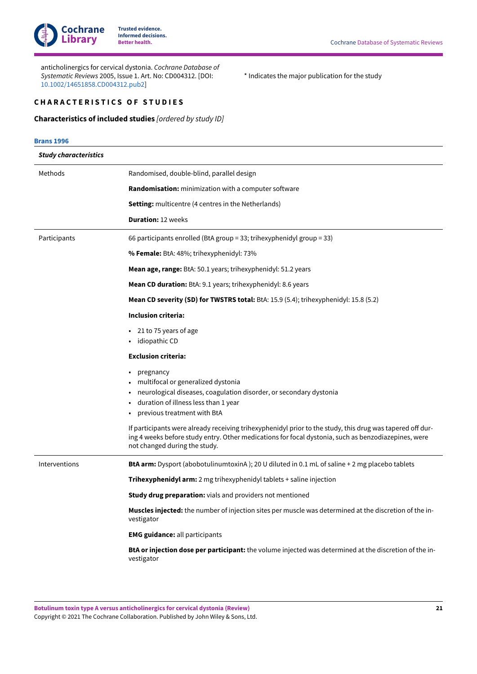

anticholinergics for cervical dystonia. *Cochrane Database of Systematic Reviews* 2005, Issue 1. Art. No: CD004312. [DOI: [10.1002/14651858.CD004312.pub2](https://doi.org/10.1002%2F14651858.CD004312.pub2)]

**Better health.** Cochrane Database of Systematic Reviews

<span id="page-22-2"></span>\* Indicates the major publication for the study

# <span id="page-22-0"></span>**C H A R A C T E R I S T I C S O F S T U D I E S**

# <span id="page-22-1"></span>**Characteristics of included studies** *[ordered by study ID]*

| <b>Study characteristics</b> |                                                                                                                                                                                                                                                   |
|------------------------------|---------------------------------------------------------------------------------------------------------------------------------------------------------------------------------------------------------------------------------------------------|
| Methods                      | Randomised, double-blind, parallel design                                                                                                                                                                                                         |
|                              | <b>Randomisation:</b> minimization with a computer software                                                                                                                                                                                       |
|                              | <b>Setting:</b> multicentre (4 centres in the Netherlands)                                                                                                                                                                                        |
|                              | <b>Duration: 12 weeks</b>                                                                                                                                                                                                                         |
| Participants                 | 66 participants enrolled (BtA group = 33; trihexyphenidyl group = 33)                                                                                                                                                                             |
|                              | % Female: BtA: 48%; trihexyphenidyl: 73%                                                                                                                                                                                                          |
|                              | Mean age, range: BtA: 50.1 years; trihexyphenidyl: 51.2 years                                                                                                                                                                                     |
|                              | Mean CD duration: BtA: 9.1 years; trihexyphenidyl: 8.6 years                                                                                                                                                                                      |
|                              | Mean CD severity (SD) for TWSTRS total: BtA: 15.9 (5.4); trihexyphenidyl: 15.8 (5.2)                                                                                                                                                              |
|                              | <b>Inclusion criteria:</b>                                                                                                                                                                                                                        |
|                              | • 21 to 75 years of age<br>• idiopathic CD                                                                                                                                                                                                        |
|                              | <b>Exclusion criteria:</b>                                                                                                                                                                                                                        |
|                              | pregnancy<br>multifocal or generalized dystonia<br>neurological diseases, coagulation disorder, or secondary dystonia<br>duration of illness less than 1 year<br>previous treatment with BtA                                                      |
|                              | If participants were already receiving trihexyphenidyl prior to the study, this drug was tapered off dur-<br>ing 4 weeks before study entry. Other medications for focal dystonia, such as benzodiazepines, were<br>not changed during the study. |
| Interventions                | BtA arm: Dysport (abobotulinumtoxinA); 20 U diluted in 0.1 mL of saline + 2 mg placebo tablets                                                                                                                                                    |
|                              | <b>Trihexyphenidyl arm:</b> 2 mg trihexyphenidyl tablets + saline injection                                                                                                                                                                       |
|                              | <b>Study drug preparation:</b> vials and providers not mentioned                                                                                                                                                                                  |
|                              | Muscles injected: the number of injection sites per muscle was determined at the discretion of the in-<br>vestigator                                                                                                                              |
|                              | <b>EMG guidance: all participants</b>                                                                                                                                                                                                             |
|                              | BtA or injection dose per participant: the volume injected was determined at the discretion of the in-<br>vestigator                                                                                                                              |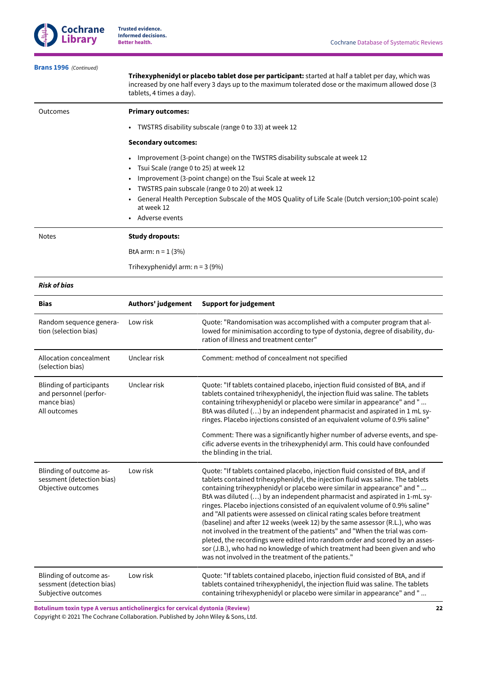

# **[Brans](#page-18-15) 1996**  *(Continued)*

**Trihexyphenidyl or placebo tablet dose per participant:** started at half a tablet per day, which was increased by one half every 3 days up to the maximum tolerated dose or the maximum allowed dose (3 tablets, 4 times a day).

| Outcomes                                                                                                                               | <b>Primary outcomes:</b><br>TWSTRS disability subscale (range 0 to 33) at week 12<br>$\bullet$ |  |  |                                                                                                                                |  |
|----------------------------------------------------------------------------------------------------------------------------------------|------------------------------------------------------------------------------------------------|--|--|--------------------------------------------------------------------------------------------------------------------------------|--|
|                                                                                                                                        |                                                                                                |  |  |                                                                                                                                |  |
|                                                                                                                                        | <b>Secondary outcomes:</b>                                                                     |  |  |                                                                                                                                |  |
|                                                                                                                                        | • Improvement (3-point change) on the TWSTRS disability subscale at week 12                    |  |  |                                                                                                                                |  |
|                                                                                                                                        | • Tsui Scale (range 0 to 25) at week 12                                                        |  |  |                                                                                                                                |  |
| Improvement (3-point change) on the Tsui Scale at week 12<br>$\bullet$<br>TWSTRS pain subscale (range 0 to 20) at week 12<br>$\bullet$ |                                                                                                |  |  |                                                                                                                                |  |
|                                                                                                                                        |                                                                                                |  |  | General Health Perception Subscale of the MOS Quality of Life Scale (Dutch version;100-point scale)<br>$\bullet$<br>at week 12 |  |
|                                                                                                                                        | • Adverse events                                                                               |  |  |                                                                                                                                |  |
| <b>Notes</b>                                                                                                                           | <b>Study dropouts:</b>                                                                         |  |  |                                                                                                                                |  |
|                                                                                                                                        | BtA arm: $n = 1$ (3%)                                                                          |  |  |                                                                                                                                |  |
|                                                                                                                                        | Trihexyphenidyl arm: $n = 3 (9%)$                                                              |  |  |                                                                                                                                |  |

# *Risk of bias*

| <b>Bias</b>                                                                              | Authors' judgement | <b>Support for judgement</b>                                                                                                                                                                                                                                                                                                                                                                                                                                                                                                                                                                                                                                                                                                                                                                                                                                               |
|------------------------------------------------------------------------------------------|--------------------|----------------------------------------------------------------------------------------------------------------------------------------------------------------------------------------------------------------------------------------------------------------------------------------------------------------------------------------------------------------------------------------------------------------------------------------------------------------------------------------------------------------------------------------------------------------------------------------------------------------------------------------------------------------------------------------------------------------------------------------------------------------------------------------------------------------------------------------------------------------------------|
| Random sequence genera-<br>tion (selection bias)                                         | Low risk           | Quote: "Randomisation was accomplished with a computer program that al-<br>lowed for minimisation according to type of dystonia, degree of disability, du-<br>ration of illness and treatment center"                                                                                                                                                                                                                                                                                                                                                                                                                                                                                                                                                                                                                                                                      |
| Allocation concealment<br>(selection bias)                                               | Unclear risk       | Comment: method of concealment not specified                                                                                                                                                                                                                                                                                                                                                                                                                                                                                                                                                                                                                                                                                                                                                                                                                               |
| <b>Blinding of participants</b><br>and personnel (perfor-<br>mance bias)<br>All outcomes | Unclear risk       | Quote: "If tablets contained placebo, injection fluid consisted of BtA, and if<br>tablets contained trihexyphenidyl, the injection fluid was saline. The tablets<br>containing trihexyphenidyl or placebo were similar in appearance" and "<br>BtA was diluted () by an independent pharmacist and aspirated in 1 mL sy-<br>ringes. Placebo injections consisted of an equivalent volume of 0.9% saline"<br>Comment: There was a significantly higher number of adverse events, and spe-<br>cific adverse events in the trihexyphenidyl arm. This could have confounded<br>the blinding in the trial.                                                                                                                                                                                                                                                                      |
| Blinding of outcome as-<br>sessment (detection bias)<br>Objective outcomes               | Low risk           | Quote: "If tablets contained placebo, injection fluid consisted of BtA, and if<br>tablets contained trihexyphenidyl, the injection fluid was saline. The tablets<br>containing trihexyphenidyl or placebo were similar in appearance" and "<br>BtA was diluted () by an independent pharmacist and aspirated in 1-mL sy-<br>ringes. Placebo injections consisted of an equivalent volume of 0.9% saline"<br>and "All patients were assessed on clinical rating scales before treatment<br>(baseline) and after 12 weeks (week 12) by the same assessor (R.L.), who was<br>not involved in the treatment of the patients" and "When the trial was com-<br>pleted, the recordings were edited into random order and scored by an asses-<br>sor (J.B.), who had no knowledge of which treatment had been given and who<br>was not involved in the treatment of the patients." |
| Blinding of outcome as-<br>sessment (detection bias)<br>Subjective outcomes              | Low risk           | Quote: "If tablets contained placebo, injection fluid consisted of BtA, and if<br>tablets contained trihexyphenidyl, the injection fluid was saline. The tablets<br>containing trihexyphenidyl or placebo were similar in appearance" and "                                                                                                                                                                                                                                                                                                                                                                                                                                                                                                                                                                                                                                |

**Botulinum toxin type A versus anticholinergics for cervical dystonia (Review)**

Copyright © 2021 The Cochrane Collaboration. Published by John Wiley & Sons, Ltd.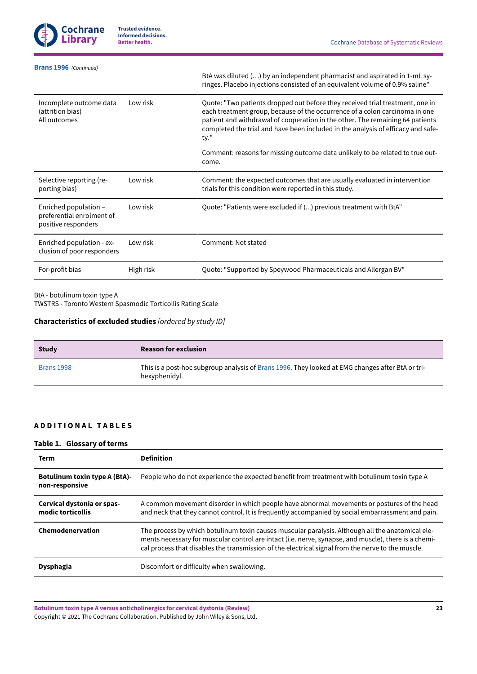

| <b>Brans 1996</b> (Continued)                                             |           |                                                                                                                                                                                                                                                                                                                                                                                                                                     |
|---------------------------------------------------------------------------|-----------|-------------------------------------------------------------------------------------------------------------------------------------------------------------------------------------------------------------------------------------------------------------------------------------------------------------------------------------------------------------------------------------------------------------------------------------|
|                                                                           |           | BtA was diluted $()$ by an independent pharmacist and aspirated in 1-mL sy-<br>ringes. Placebo injections consisted of an equivalent volume of 0.9% saline"                                                                                                                                                                                                                                                                         |
| Incomplete outcome data<br>(attrition bias)<br>All outcomes               | Low risk  | Quote: "Two patients dropped out before they received trial treatment, one in<br>each treatment group, because of the occurrence of a colon carcinoma in one<br>patient and withdrawal of cooperation in the other. The remaining 64 patients<br>completed the trial and have been included in the analysis of efficacy and safe-<br>ty."<br>Comment: reasons for missing outcome data unlikely to be related to true out-<br>come. |
| Selective reporting (re-<br>porting bias)                                 | Low risk  | Comment: the expected outcomes that are usually evaluated in intervention<br>trials for this condition were reported in this study.                                                                                                                                                                                                                                                                                                 |
| Enriched population -<br>preferential enrolment of<br>positive responders | Low risk  | Quote: "Patients were excluded if () previous treatment with BtA"                                                                                                                                                                                                                                                                                                                                                                   |
| Enriched population - ex-<br>clusion of poor responders                   | Low risk  | Comment: Not stated                                                                                                                                                                                                                                                                                                                                                                                                                 |
| For-profit bias                                                           | High risk | Quote: "Supported by Speywood Pharmaceuticals and Allergan BV"                                                                                                                                                                                                                                                                                                                                                                      |

BtA - botulinum toxin type A

TWSTRS - Toronto Western Spasmodic Torticollis Rating Scale

# <span id="page-24-2"></span>**Characteristics of excluded studies** *[ordered by study ID]*

| <b>Study</b>      | <b>Reason for exclusion</b>                                                                                       |
|-------------------|-------------------------------------------------------------------------------------------------------------------|
| <b>Brans 1998</b> | This is a post-hoc subgroup analysis of Brans 1996. They looked at EMG changes after BtA or tri-<br>hexyphenidyl. |

# <span id="page-24-0"></span>**A D D I T I O N A L T A B L E S**

# <span id="page-24-1"></span>**Table 1. Glossary of terms**

| <b>Term</b>                                            | <b>Definition</b>                                                                                                                                                                                                                                                                                             |
|--------------------------------------------------------|---------------------------------------------------------------------------------------------------------------------------------------------------------------------------------------------------------------------------------------------------------------------------------------------------------------|
| <b>Botulinum toxin type A (BtA)-</b><br>non-responsive | People who do not experience the expected benefit from treatment with botulinum toxin type A                                                                                                                                                                                                                  |
| Cervical dystonia or spas-<br>modic torticollis        | A common movement disorder in which people have abnormal movements or postures of the head<br>and neck that they cannot control. It is frequently accompanied by social embarrassment and pain.                                                                                                               |
| Chemodenervation                                       | The process by which botulinum toxin causes muscular paralysis. Although all the anatomical ele-<br>ments necessary for muscular control are intact (i.e. nerve, synapse, and muscle), there is a chemi-<br>cal process that disables the transmission of the electrical signal from the nerve to the muscle. |
| <b>Dysphagia</b>                                       | Discomfort or difficulty when swallowing.                                                                                                                                                                                                                                                                     |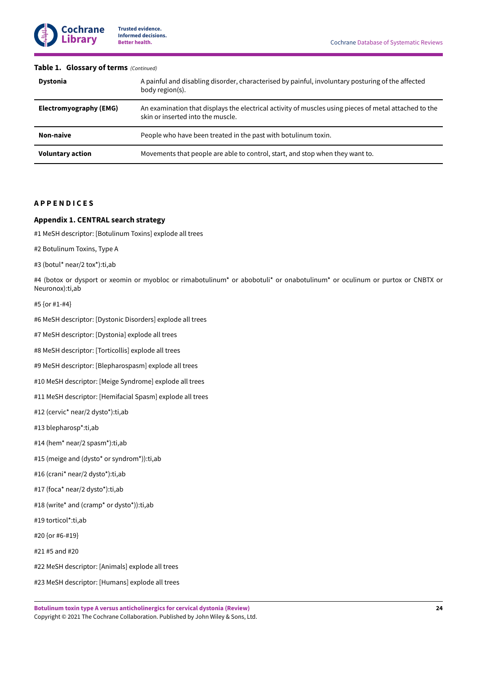# **Table 1. Glossary of terms**  *(Continued)*

| <b>Dystonia</b>         | A painful and disabling disorder, characterised by painful, involuntary posturing of the affected<br>body region(s).                       |
|-------------------------|--------------------------------------------------------------------------------------------------------------------------------------------|
| Electromyography (EMG)  | An examination that displays the electrical activity of muscles using pieces of metal attached to the<br>skin or inserted into the muscle. |
| Non-naive               | People who have been treated in the past with botulinum toxin.                                                                             |
| <b>Voluntary action</b> | Movements that people are able to control, start, and stop when they want to.                                                              |

# <span id="page-25-0"></span>**A P P E N D I C E S**

# <span id="page-25-1"></span>**Appendix 1. CENTRAL search strategy**

#1 MeSH descriptor: [Botulinum Toxins] explode all trees

- #2 Botulinum Toxins, Type A
- #3 (botul\* near/2 tox\*):ti,ab

#4 (botox or dysport or xeomin or myobloc or rimabotulinum<sup>\*</sup> or abobotuli<sup>\*</sup> or onabotulinum<sup>\*</sup> or oculinum or purtox or CNBTX or Neuronox):ti,ab

- #5 {or #1-#4}
- #6 MeSH descriptor: [Dystonic Disorders] explode all trees
- #7 MeSH descriptor: [Dystonia] explode all trees
- #8 MeSH descriptor: [Torticollis] explode all trees
- #9 MeSH descriptor: [Blepharospasm] explode all trees
- #10 MeSH descriptor: [Meige Syndrome] explode all trees
- #11 MeSH descriptor: [Hemifacial Spasm] explode all trees
- #12 (cervic\* near/2 dysto\*):ti,ab
- #13 blepharosp\*:ti,ab
- #14 (hem\* near/2 spasm\*):ti,ab
- #15 (meige and (dysto\* or syndrom\*)):ti,ab
- #16 (crani\* near/2 dysto\*):ti,ab
- #17 (foca\* near/2 dysto\*):ti,ab
- #18 (write\* and (cramp\* or dysto\*)):ti,ab
- #19 torticol\*:ti,ab
- #20 {or #6-#19}
- #21 #5 and #20
- #22 MeSH descriptor: [Animals] explode all trees
- #23 MeSH descriptor: [Humans] explode all trees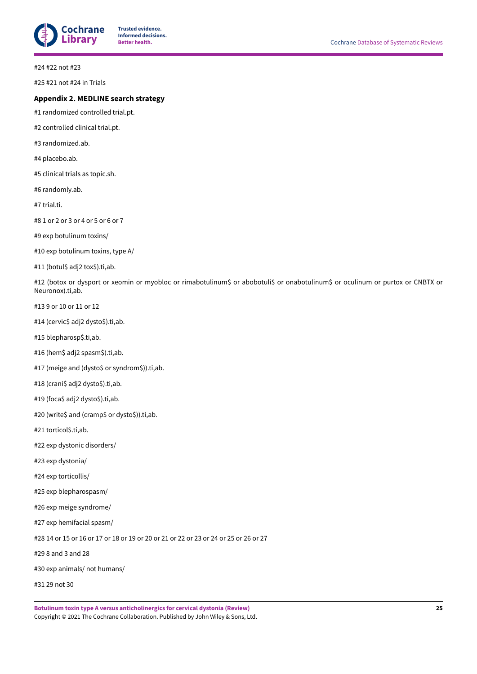

#24 #22 not #23

#25 #21 not #24 in Trials

# <span id="page-26-0"></span>**Appendix 2. MEDLINE search strategy**

#1 randomized controlled trial.pt.

- #2 controlled clinical trial.pt.
- #3 randomized.ab.

#4 placebo.ab.

#5 clinical trials as topic.sh.

#6 randomly.ab.

#7 trial.ti.

#8 1 or 2 or 3 or 4 or 5 or 6 or 7

#9 exp botulinum toxins/

- #10 exp botulinum toxins, type A/
- #11 (botul\$ adj2 tox\$).ti,ab.

#12 (botox or dysport or xeomin or myobloc or rimabotulinum\$ or abobotuli\$ or onabotulinum\$ or oculinum or purtox or CNBTX or Neuronox).ti,ab.

- #13 9 or 10 or 11 or 12
- #14 (cervic\$ adj2 dysto\$).ti,ab.
- #15 blepharosp\$.ti,ab.
- #16 (hem\$ adj2 spasm\$).ti,ab.
- #17 (meige and (dysto\$ or syndrom\$)).ti,ab.
- #18 (crani\$ adj2 dysto\$).ti,ab.
- #19 (foca\$ adj2 dysto\$).ti,ab.
- #20 (write\$ and (cramp\$ or dysto\$)).ti,ab.
- #21 torticol\$.ti,ab.
- #22 exp dystonic disorders/
- #23 exp dystonia/
- #24 exp torticollis/
- #25 exp blepharospasm/
- #26 exp meige syndrome/
- #27 exp hemifacial spasm/
- #28 14 or 15 or 16 or 17 or 18 or 19 or 20 or 21 or 22 or 23 or 24 or 25 or 26 or 27
- #29 8 and 3 and 28
- #30 exp animals/ not humans/
- #31 29 not 30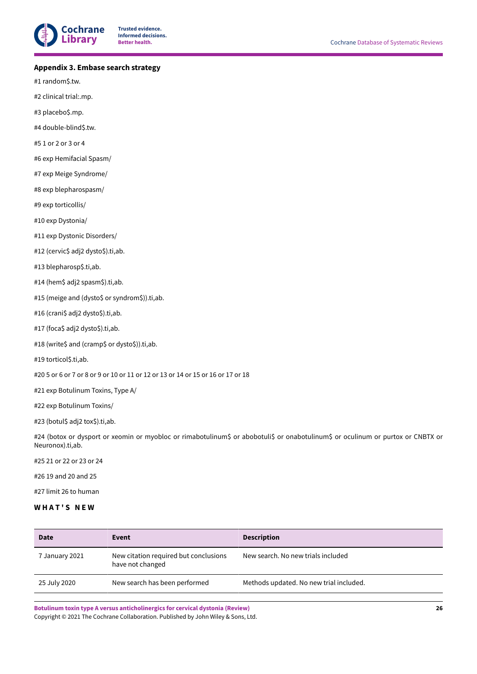

# <span id="page-27-1"></span>**Appendix 3. Embase search strategy**

- #1 random\$.tw.
- #2 clinical trial:.mp.
- #3 placebo\$.mp.
- #4 double-blind\$.tw.
- #5 1 or 2 or 3 or 4
- #6 exp Hemifacial Spasm/
- #7 exp Meige Syndrome/
- #8 exp blepharospasm/
- #9 exp torticollis/
- #10 exp Dystonia/
- #11 exp Dystonic Disorders/
- #12 (cervic\$ adj2 dysto\$).ti,ab.
- #13 blepharosp\$.ti,ab.
- #14 (hem\$ adj2 spasm\$).ti,ab.
- #15 (meige and (dysto\$ or syndrom\$)).ti,ab.
- #16 (crani\$ adj2 dysto\$).ti,ab.
- #17 (foca\$ adj2 dysto\$).ti,ab.
- #18 (write\$ and (cramp\$ or dysto\$)).ti,ab.
- #19 torticol\$.ti,ab.
- #20 5 or 6 or 7 or 8 or 9 or 10 or 11 or 12 or 13 or 14 or 15 or 16 or 17 or 18
- #21 exp Botulinum Toxins, Type A/
- #22 exp Botulinum Toxins/
- #23 (botul\$ adj2 tox\$).ti,ab.

#24 (botox or dysport or xeomin or myobloc or rimabotulinum\$ or abobotuli\$ or onabotulinum\$ or oculinum or purtox or CNBTX or Neuronox).ti,ab.

- #25 21 or 22 or 23 or 24
- #26 19 and 20 and 25
- #27 limit 26 to human

# <span id="page-27-0"></span>**W H A T ' S N E W**

| <b>Date</b>    | Event                                                     | <b>Description</b>                      |
|----------------|-----------------------------------------------------------|-----------------------------------------|
| 7 January 2021 | New citation required but conclusions<br>have not changed | New search. No new trials included      |
| 25 July 2020   | New search has been performed                             | Methods updated. No new trial included. |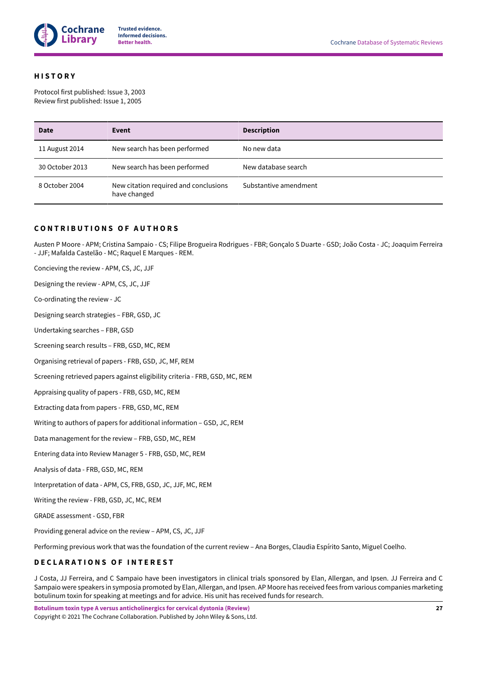

# <span id="page-28-0"></span>**H I S T O R Y**

Protocol first published: Issue 3, 2003 Review first published: Issue 1, 2005

| <b>Date</b>     | Event                                                 | <b>Description</b>    |
|-----------------|-------------------------------------------------------|-----------------------|
| 11 August 2014  | New search has been performed                         | No new data           |
| 30 October 2013 | New search has been performed                         | New database search   |
| 8 October 2004  | New citation required and conclusions<br>have changed | Substantive amendment |

# <span id="page-28-1"></span>**C O N T R I B U T I O N S O F A U T H O R S**

Austen P Moore - APM; Cristina Sampaio - CS; Filipe Brogueira Rodrigues - FBR; Gonçalo S Duarte - GSD; João Costa - JC; Joaquim Ferreira - JJF; Mafalda Castelão - MC; Raquel E Marques - REM.

Concieving the review - APM, CS, JC, JJF

Designing the review - APM, CS, JC, JJF

Co-ordinating the review - JC

Designing search strategies – FBR, GSD, JC

Undertaking searches – FBR, GSD

Screening search results – FRB, GSD, MC, REM

Organising retrieval of papers - FRB, GSD, JC, MF, REM

Screening retrieved papers against eligibility criteria - FRB, GSD, MC, REM

Appraising quality of papers - FRB, GSD, MC, REM

Extracting data from papers - FRB, GSD, MC, REM

Writing to authors of papers for additional information – GSD, JC, REM

Data management for the review – FRB, GSD, MC, REM

Entering data into Review Manager 5 - FRB, GSD, MC, REM

Analysis of data - FRB, GSD, MC, REM

Interpretation of data - APM, CS, FRB, GSD, JC, JJF, MC, REM

Writing the review - FRB, GSD, JC, MC, REM

GRADE assessment - GSD, FBR

Providing general advice on the review – APM, CS, JC, JJF

Performing previous work that was the foundation of the current review – Ana Borges, Claudia Espírito Santo, Miguel Coelho.

# <span id="page-28-2"></span>**D E C L A R A T I O N S O F I N T E R E S T**

J Costa, JJ Ferreira, and C Sampaio have been investigators in clinical trials sponsored by Elan, Allergan, and Ipsen. JJ Ferreira and C Sampaio were speakers in symposia promoted by Elan, Allergan, and Ipsen. AP Moore has received fees from various companies marketing botulinum toxin for speaking at meetings and for advice. His unit has received funds for research.